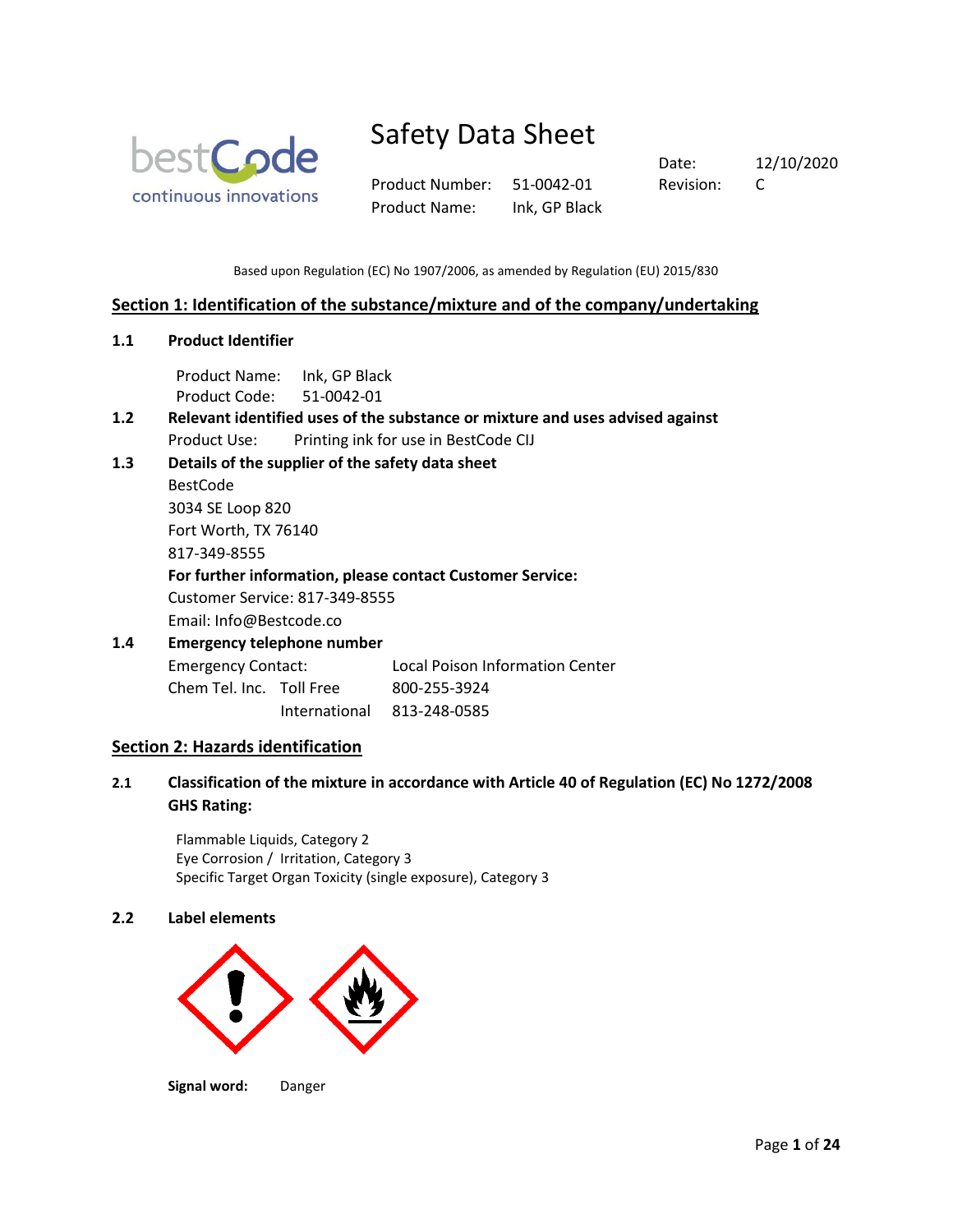

Product Number: 51-0042-01 Revision: C Product Name: Ink, GP Black

Date: 12/10/2020

Based upon Regulation (EC) No 1907/2006, as amended by Regulation (EU) 2015/830

# **Section 1: Identification of the substance/mixture and of the company/undertaking**

**1.1 Product Identifier**

Product Name: Ink, GP Black Product Code: 51-0042-01

- **1.2 Relevant identified uses of the substance or mixture and uses advised against** Product Use: Printing ink for use in BestCode CIJ
- **1.3 Details of the supplier of the safety data sheet**

BestCode 3034 SE Loop 820 Fort Worth, TX 76140 817-349-8555

**For further information, please contact Customer Service:**

Customer Service: 817-349-8555

Email: Info@Bestcode.co

# **1.4 Emergency telephone number** Emergency Contact: Local Poison Information Center

| Chem Tel. Inc. Toll Free |               | 800-255-3924 |
|--------------------------|---------------|--------------|
|                          | International | 813-248-0585 |

# **Section 2: Hazards identification**

**2.1 Classification of the mixture in accordance with Article 40 of Regulation (EC) No 1272/2008 GHS Rating:**

Flammable Liquids, Category 2 Eye Corrosion / Irritation, Category 3 Specific Target Organ Toxicity (single exposure), Category 3

# **2.2 Label elements**



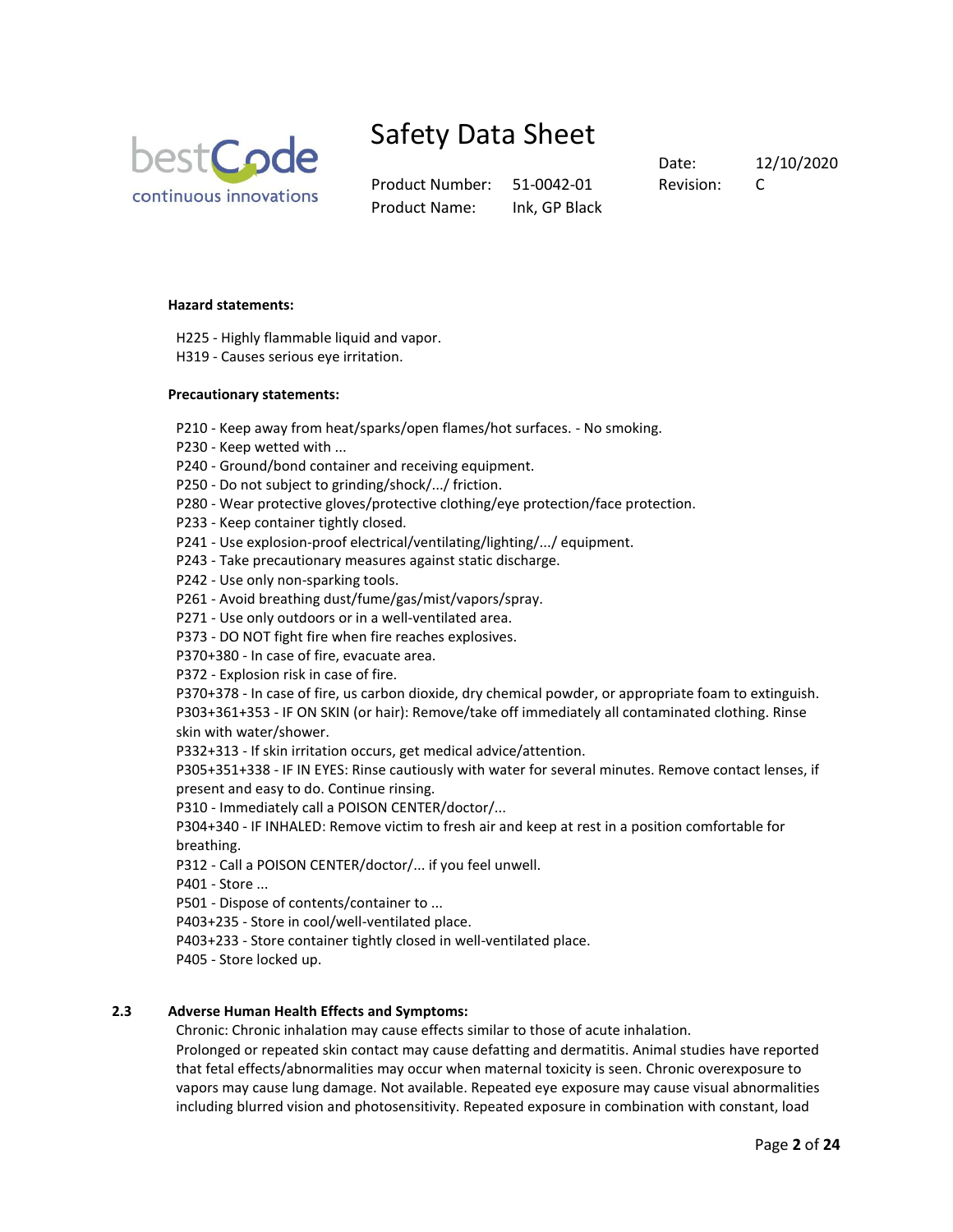

Product Number: 51-0042-01 Revision: C Product Name: Ink, GP Black

Date: 12/10/2020

#### **Hazard statements:**

- H225 Highly flammable liquid and vapor.
- H319 Causes serious eye irritation.

#### **Precautionary statements:**

- P210 Keep away from heat/sparks/open flames/hot surfaces. No smoking.
- P230 Keep wetted with ...
- P240 Ground/bond container and receiving equipment.
- P250 Do not subject to grinding/shock/.../ friction.
- P280 Wear protective gloves/protective clothing/eye protection/face protection.
- P233 Keep container tightly closed.
- P241 Use explosion-proof electrical/ventilating/lighting/.../ equipment.
- P243 Take precautionary measures against static discharge.
- P242 Use only non-sparking tools.
- P261 Avoid breathing dust/fume/gas/mist/vapors/spray.
- P271 Use only outdoors or in a well-ventilated area.
- P373 DO NOT fight fire when fire reaches explosives.
- P370+380 In case of fire, evacuate area.
- P372 Explosion risk in case of fire.

P370+378 - In case of fire, us carbon dioxide, dry chemical powder, or appropriate foam to extinguish. P303+361+353 - IF ON SKIN (or hair): Remove/take off immediately all contaminated clothing. Rinse skin with water/shower.

P332+313 - If skin irritation occurs, get medical advice/attention.

P305+351+338 - IF IN EYES: Rinse cautiously with water for several minutes. Remove contact lenses, if present and easy to do. Continue rinsing.

P310 - Immediately call a POISON CENTER/doctor/...

P304+340 - IF INHALED: Remove victim to fresh air and keep at rest in a position comfortable for breathing.

- P312 Call a POISON CENTER/doctor/... if you feel unwell.
- P401 Store ...
- P501 Dispose of contents/container to ...
- P403+235 Store in cool/well-ventilated place.
- P403+233 Store container tightly closed in well-ventilated place.
- P405 Store locked up.

# **2.3 Adverse Human Health Effects and Symptoms:**

Chronic: Chronic inhalation may cause effects similar to those of acute inhalation.

Prolonged or repeated skin contact may cause defatting and dermatitis. Animal studies have reported that fetal effects/abnormalities may occur when maternal toxicity is seen. Chronic overexposure to vapors may cause lung damage. Not available. Repeated eye exposure may cause visual abnormalities including blurred vision and photosensitivity. Repeated exposure in combination with constant, load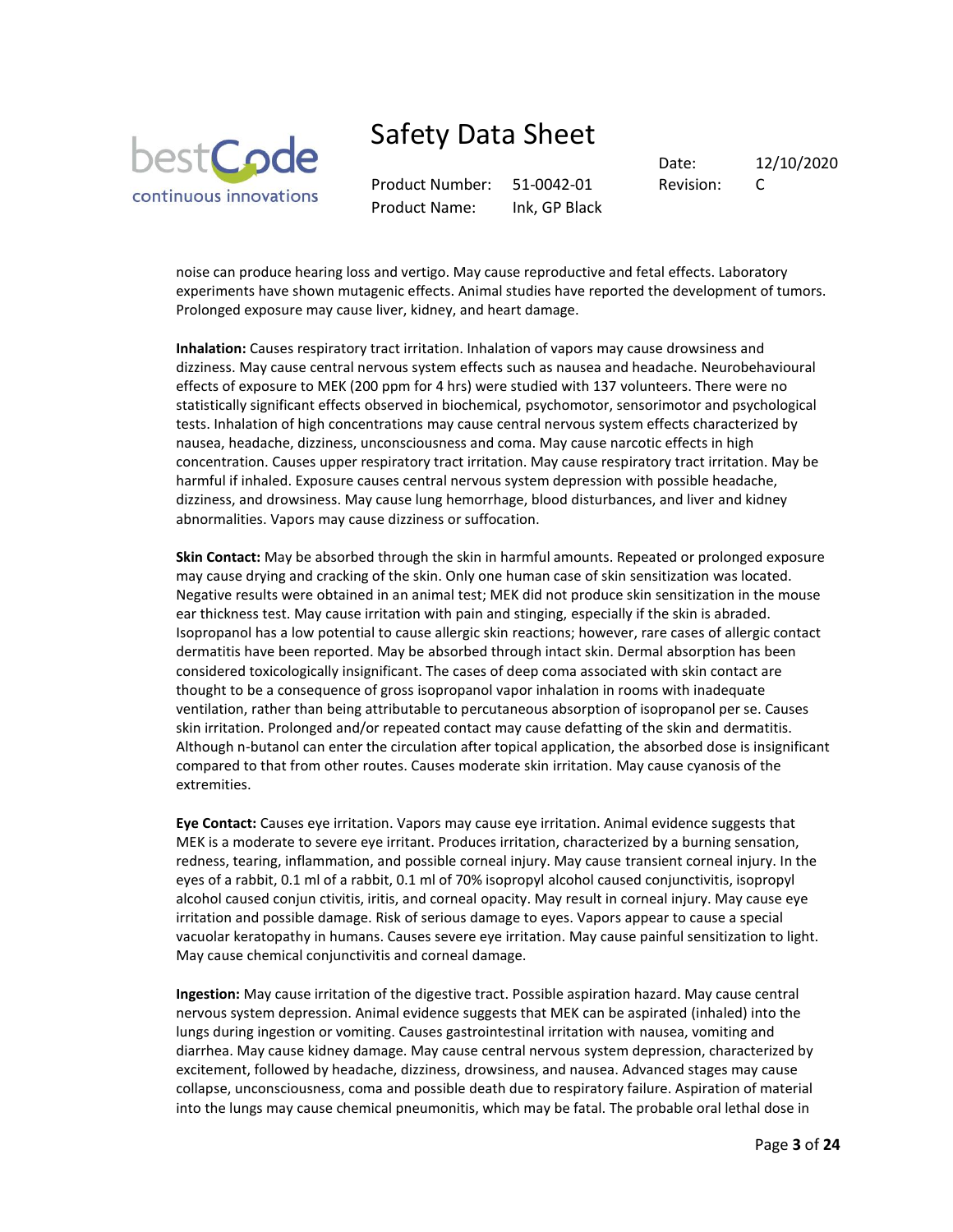

Product Number: 51-0042-01 Revision: C Product Name: Ink, GP Black

Date: 12/10/2020

noise can produce hearing loss and vertigo. May cause reproductive and fetal effects. Laboratory experiments have shown mutagenic effects. Animal studies have reported the development of tumors. Prolonged exposure may cause liver, kidney, and heart damage.

**Inhalation:** Causes respiratory tract irritation. Inhalation of vapors may cause drowsiness and dizziness. May cause central nervous system effects such as nausea and headache. Neurobehavioural effects of exposure to MEK (200 ppm for 4 hrs) were studied with 137 volunteers. There were no statistically significant effects observed in biochemical, psychomotor, sensorimotor and psychological tests. Inhalation of high concentrations may cause central nervous system effects characterized by nausea, headache, dizziness, unconsciousness and coma. May cause narcotic effects in high concentration. Causes upper respiratory tract irritation. May cause respiratory tract irritation. May be harmful if inhaled. Exposure causes central nervous system depression with possible headache, dizziness, and drowsiness. May cause lung hemorrhage, blood disturbances, and liver and kidney abnormalities. Vapors may cause dizziness or suffocation.

**Skin Contact:** May be absorbed through the skin in harmful amounts. Repeated or prolonged exposure may cause drying and cracking of the skin. Only one human case of skin sensitization was located. Negative results were obtained in an animal test; MEK did not produce skin sensitization in the mouse ear thickness test. May cause irritation with pain and stinging, especially if the skin is abraded. Isopropanol has a low potential to cause allergic skin reactions; however, rare cases of allergic contact dermatitis have been reported. May be absorbed through intact skin. Dermal absorption has been considered toxicologically insignificant. The cases of deep coma associated with skin contact are thought to be a consequence of gross isopropanol vapor inhalation in rooms with inadequate ventilation, rather than being attributable to percutaneous absorption of isopropanol per se. Causes skin irritation. Prolonged and/or repeated contact may cause defatting of the skin and dermatitis. Although n-butanol can enter the circulation after topical application, the absorbed dose is insignificant compared to that from other routes. Causes moderate skin irritation. May cause cyanosis of the extremities.

**Eye Contact:** Causes eye irritation. Vapors may cause eye irritation. Animal evidence suggests that MEK is a moderate to severe eye irritant. Produces irritation, characterized by a burning sensation, redness, tearing, inflammation, and possible corneal injury. May cause transient corneal injury. In the eyes of a rabbit, 0.1 ml of a rabbit, 0.1 ml of 70% isopropyl alcohol caused conjunctivitis, isopropyl alcohol caused conjun ctivitis, iritis, and corneal opacity. May result in corneal injury. May cause eye irritation and possible damage. Risk of serious damage to eyes. Vapors appear to cause a special vacuolar keratopathy in humans. Causes severe eye irritation. May cause painful sensitization to light. May cause chemical conjunctivitis and corneal damage.

**Ingestion:** May cause irritation of the digestive tract. Possible aspiration hazard. May cause central nervous system depression. Animal evidence suggests that MEK can be aspirated (inhaled) into the lungs during ingestion or vomiting. Causes gastrointestinal irritation with nausea, vomiting and diarrhea. May cause kidney damage. May cause central nervous system depression, characterized by excitement, followed by headache, dizziness, drowsiness, and nausea. Advanced stages may cause collapse, unconsciousness, coma and possible death due to respiratory failure. Aspiration of material into the lungs may cause chemical pneumonitis, which may be fatal. The probable oral lethal dose in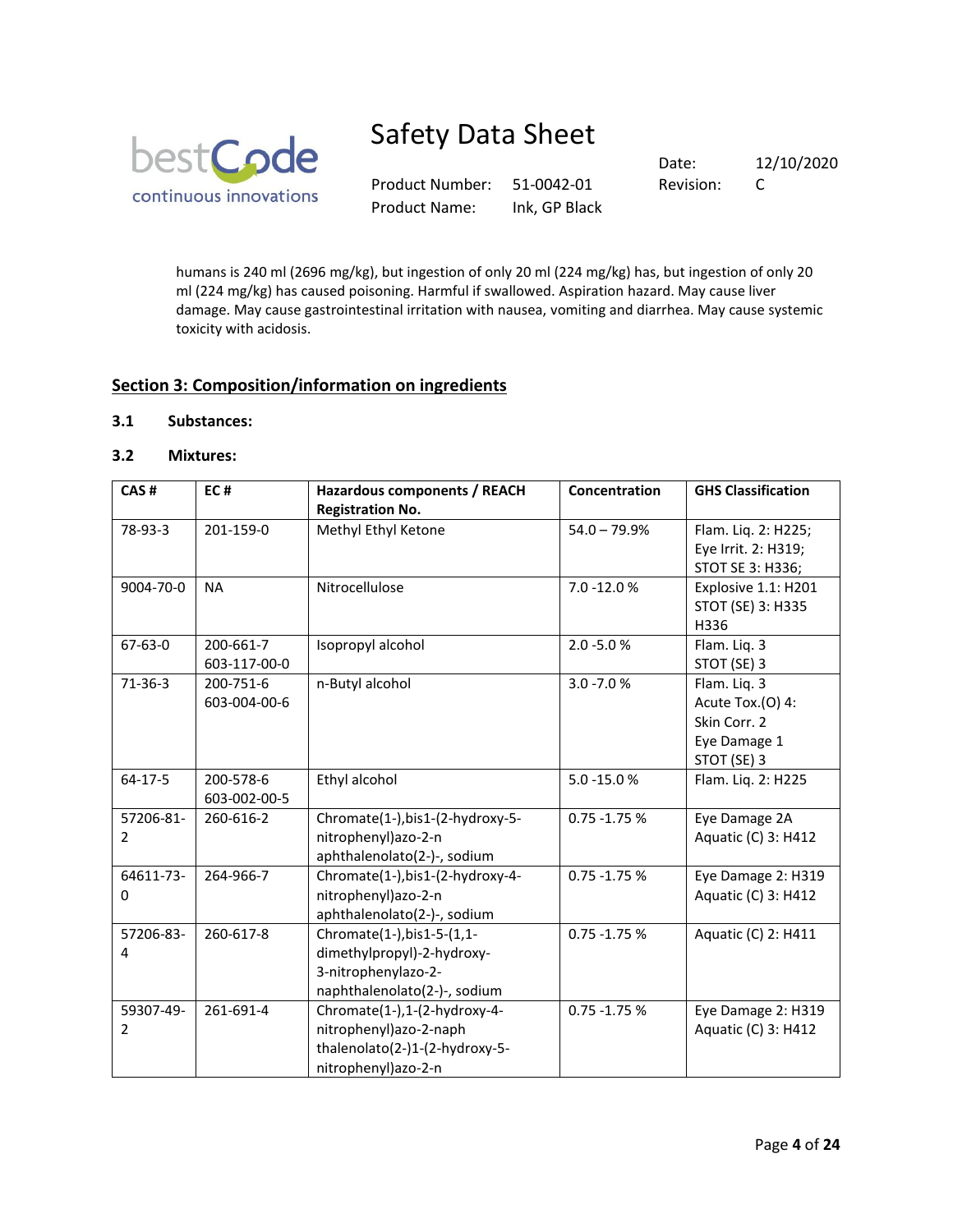

Product Number: 51-0042-01 Revision: C Product Name: Ink, GP Black

Date: 12/10/2020

humans is 240 ml (2696 mg/kg), but ingestion of only 20 ml (224 mg/kg) has, but ingestion of only 20 ml (224 mg/kg) has caused poisoning. Harmful if swallowed. Aspiration hazard. May cause liver damage. May cause gastrointestinal irritation with nausea, vomiting and diarrhea. May cause systemic toxicity with acidosis.

# **Section 3: Composition/information on ingredients**

# **3.1 Substances:**

# **3.2 Mixtures:**

| CAS#          | EC#          | <b>Hazardous components / REACH</b> | Concentration   | <b>GHS Classification</b> |
|---------------|--------------|-------------------------------------|-----------------|---------------------------|
|               |              | <b>Registration No.</b>             |                 |                           |
| 78-93-3       | 201-159-0    | Methyl Ethyl Ketone                 | $54.0 - 79.9%$  | Flam. Liq. 2: H225;       |
|               |              |                                     |                 | Eye Irrit. 2: H319;       |
|               |              |                                     |                 | STOT SE 3: H336;          |
| 9004-70-0     | <b>NA</b>    | Nitrocellulose                      | 7.0 -12.0 %     | Explosive 1.1: H201       |
|               |              |                                     |                 | STOT (SE) 3: H335         |
|               |              |                                     |                 | H336                      |
| $67 - 63 - 0$ | 200-661-7    | Isopropyl alcohol                   | $2.0 - 5.0 %$   | Flam. Liq. 3              |
|               | 603-117-00-0 |                                     |                 | STOT (SE) 3               |
| $71-36-3$     | 200-751-6    | n-Butyl alcohol                     | $3.0 - 7.0 %$   | Flam. Liq. 3              |
|               | 603-004-00-6 |                                     |                 | Acute Tox.(O) 4:          |
|               |              |                                     |                 | Skin Corr. 2              |
|               |              |                                     |                 | Eye Damage 1              |
|               |              |                                     |                 | STOT (SE) 3               |
| 64-17-5       | 200-578-6    | Ethyl alcohol                       | 5.0 -15.0%      | Flam. Lig. 2: H225        |
|               | 603-002-00-5 |                                     |                 |                           |
| 57206-81-     | 260-616-2    | Chromate(1-), bis1-(2-hydroxy-5-    | $0.75 - 1.75 %$ | Eye Damage 2A             |
| 2             |              | nitrophenyl)azo-2-n                 |                 | Aquatic (C) 3: H412       |
|               |              | aphthalenolato(2-)-, sodium         |                 |                           |
| 64611-73-     | 264-966-7    | Chromate(1-),bis1-(2-hydroxy-4-     | $0.75 - 1.75 %$ | Eye Damage 2: H319        |
| 0             |              | nitrophenyl)azo-2-n                 |                 | Aquatic (C) 3: H412       |
|               |              | aphthalenolato(2-)-, sodium         |                 |                           |
| 57206-83-     | 260-617-8    | Chromate(1-), bis1-5-(1,1-          | $0.75 - 1.75 %$ | Aquatic (C) 2: H411       |
| 4             |              | dimethylpropyl)-2-hydroxy-          |                 |                           |
|               |              | 3-nitrophenylazo-2-                 |                 |                           |
|               |              | naphthalenolato(2-)-, sodium        |                 |                           |
| 59307-49-     | 261-691-4    | Chromate(1-),1-(2-hydroxy-4-        | $0.75 - 1.75 %$ | Eye Damage 2: H319        |
| 2             |              | nitrophenyl)azo-2-naph              |                 | Aquatic (C) 3: H412       |
|               |              | thalenolato(2-)1-(2-hydroxy-5-      |                 |                           |
|               |              | nitrophenyl)azo-2-n                 |                 |                           |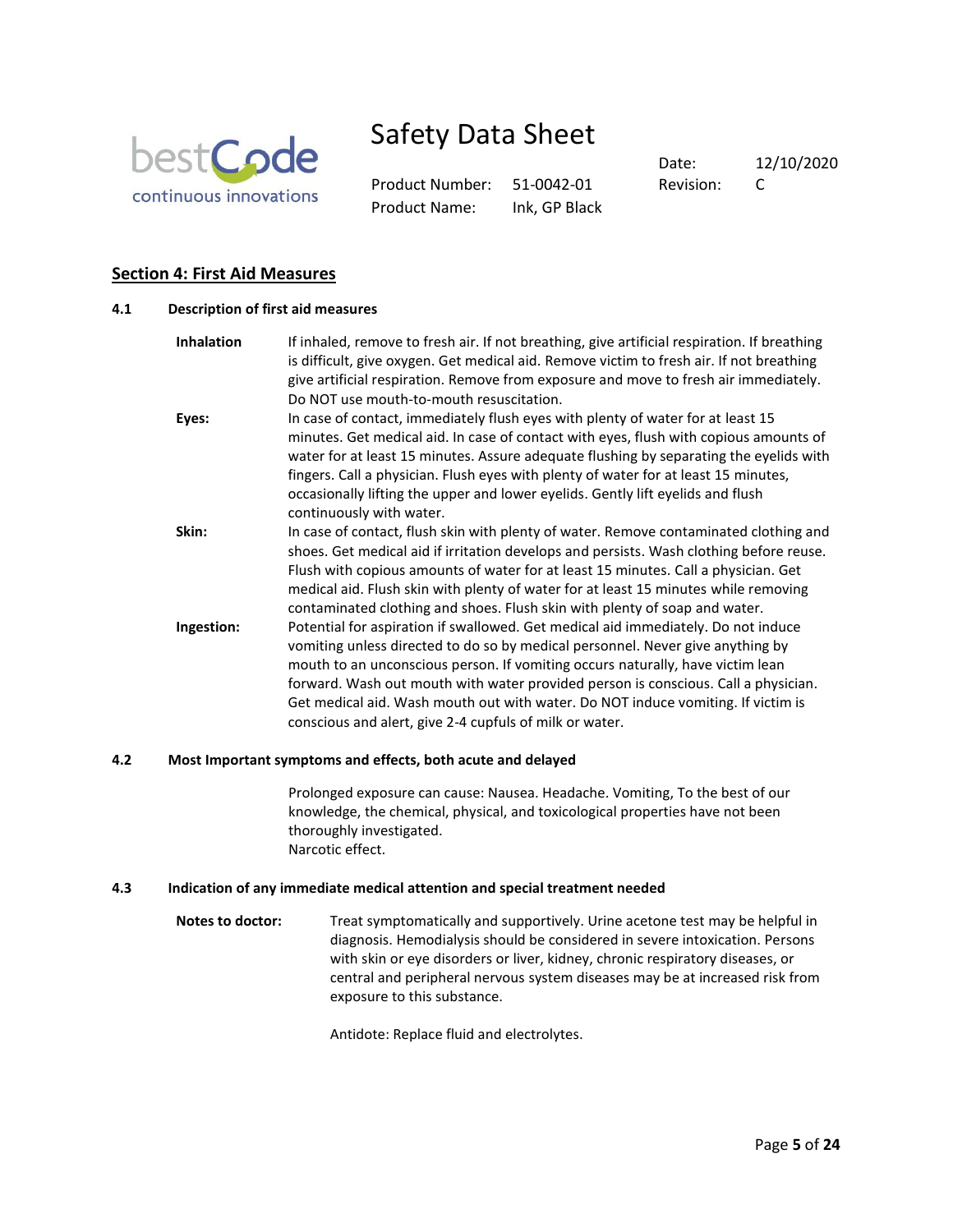

Product Number: 51-0042-01 Revision: C Product Name: Ink, GP Black

Date: 12/10/2020

# **Section 4: First Aid Measures**

|                   | Description of first aid measures                                                                                                                                                                                                                                                                                                                                                                                                                                                          |
|-------------------|--------------------------------------------------------------------------------------------------------------------------------------------------------------------------------------------------------------------------------------------------------------------------------------------------------------------------------------------------------------------------------------------------------------------------------------------------------------------------------------------|
| <b>Inhalation</b> | If inhaled, remove to fresh air. If not breathing, give artificial respiration. If breathing<br>is difficult, give oxygen. Get medical aid. Remove victim to fresh air. If not breathing<br>give artificial respiration. Remove from exposure and move to fresh air immediately.<br>Do NOT use mouth-to-mouth resuscitation.                                                                                                                                                               |
| Eyes:             | In case of contact, immediately flush eyes with plenty of water for at least 15<br>minutes. Get medical aid. In case of contact with eyes, flush with copious amounts of<br>water for at least 15 minutes. Assure adequate flushing by separating the eyelids with<br>fingers. Call a physician. Flush eyes with plenty of water for at least 15 minutes,<br>occasionally lifting the upper and lower eyelids. Gently lift eyelids and flush<br>continuously with water.                   |
| Skin:             | In case of contact, flush skin with plenty of water. Remove contaminated clothing and<br>shoes. Get medical aid if irritation develops and persists. Wash clothing before reuse.<br>Flush with copious amounts of water for at least 15 minutes. Call a physician. Get<br>medical aid. Flush skin with plenty of water for at least 15 minutes while removing<br>contaminated clothing and shoes. Flush skin with plenty of soap and water.                                                |
| Ingestion:        | Potential for aspiration if swallowed. Get medical aid immediately. Do not induce<br>vomiting unless directed to do so by medical personnel. Never give anything by<br>mouth to an unconscious person. If vomiting occurs naturally, have victim lean<br>forward. Wash out mouth with water provided person is conscious. Call a physician.<br>Get medical aid. Wash mouth out with water. Do NOT induce vomiting. If victim is<br>conscious and alert, give 2-4 cupfuls of milk or water. |

### **4.2 Most Important symptoms and effects, both acute and delayed**

Prolonged exposure can cause: Nausea. Headache. Vomiting, To the best of our knowledge, the chemical, physical, and toxicological properties have not been thoroughly investigated. Narcotic effect.

#### **4.3 Indication of any immediate medical attention and special treatment needed**

**Notes to doctor:** Treat symptomatically and supportively. Urine acetone test may be helpful in diagnosis. Hemodialysis should be considered in severe intoxication. Persons with skin or eye disorders or liver, kidney, chronic respiratory diseases, or central and peripheral nervous system diseases may be at increased risk from exposure to this substance.

Antidote: Replace fluid and electrolytes.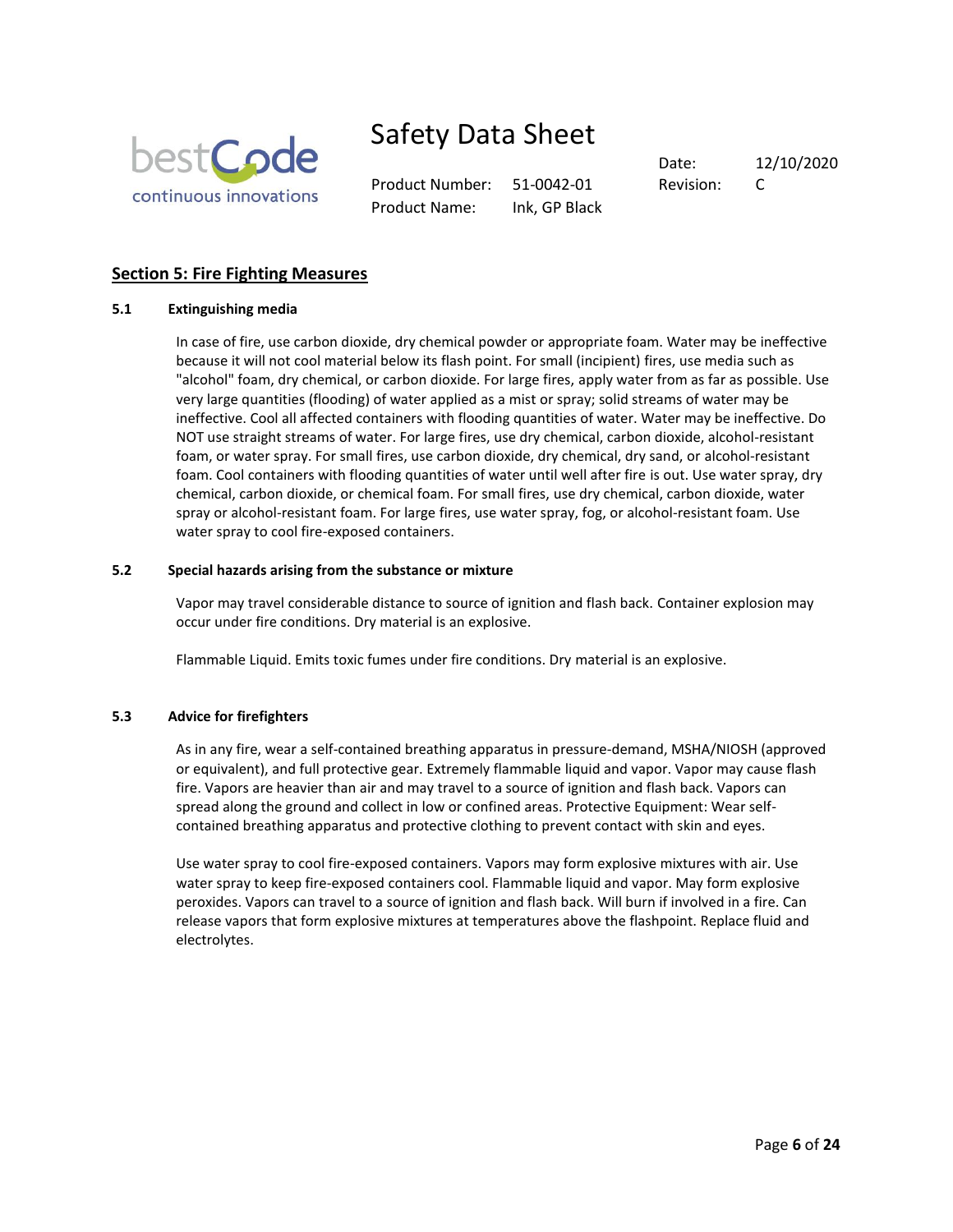

Product Number: 51-0042-01 Revision: C Product Name: Ink, GP Black

Date: 12/10/2020

# **Section 5: Fire Fighting Measures**

### **5.1 Extinguishing media**

In case of fire, use carbon dioxide, dry chemical powder or appropriate foam. Water may be ineffective because it will not cool material below its flash point. For small (incipient) fires, use media such as "alcohol" foam, dry chemical, or carbon dioxide. For large fires, apply water from as far as possible. Use very large quantities (flooding) of water applied as a mist or spray; solid streams of water may be ineffective. Cool all affected containers with flooding quantities of water. Water may be ineffective. Do NOT use straight streams of water. For large fires, use dry chemical, carbon dioxide, alcohol-resistant foam, or water spray. For small fires, use carbon dioxide, dry chemical, dry sand, or alcohol-resistant foam. Cool containers with flooding quantities of water until well after fire is out. Use water spray, dry chemical, carbon dioxide, or chemical foam. For small fires, use dry chemical, carbon dioxide, water spray or alcohol-resistant foam. For large fires, use water spray, fog, or alcohol-resistant foam. Use water spray to cool fire-exposed containers.

### **5.2 Special hazards arising from the substance or mixture**

Vapor may travel considerable distance to source of ignition and flash back. Container explosion may occur under fire conditions. Dry material is an explosive.

Flammable Liquid. Emits toxic fumes under fire conditions. Dry material is an explosive.

### **5.3 Advice for firefighters**

As in any fire, wear a self-contained breathing apparatus in pressure-demand, MSHA/NIOSH (approved or equivalent), and full protective gear. Extremely flammable liquid and vapor. Vapor may cause flash fire. Vapors are heavier than air and may travel to a source of ignition and flash back. Vapors can spread along the ground and collect in low or confined areas. Protective Equipment: Wear selfcontained breathing apparatus and protective clothing to prevent contact with skin and eyes.

Use water spray to cool fire-exposed containers. Vapors may form explosive mixtures with air. Use water spray to keep fire-exposed containers cool. Flammable liquid and vapor. May form explosive peroxides. Vapors can travel to a source of ignition and flash back. Will burn if involved in a fire. Can release vapors that form explosive mixtures at temperatures above the flashpoint. Replace fluid and electrolytes.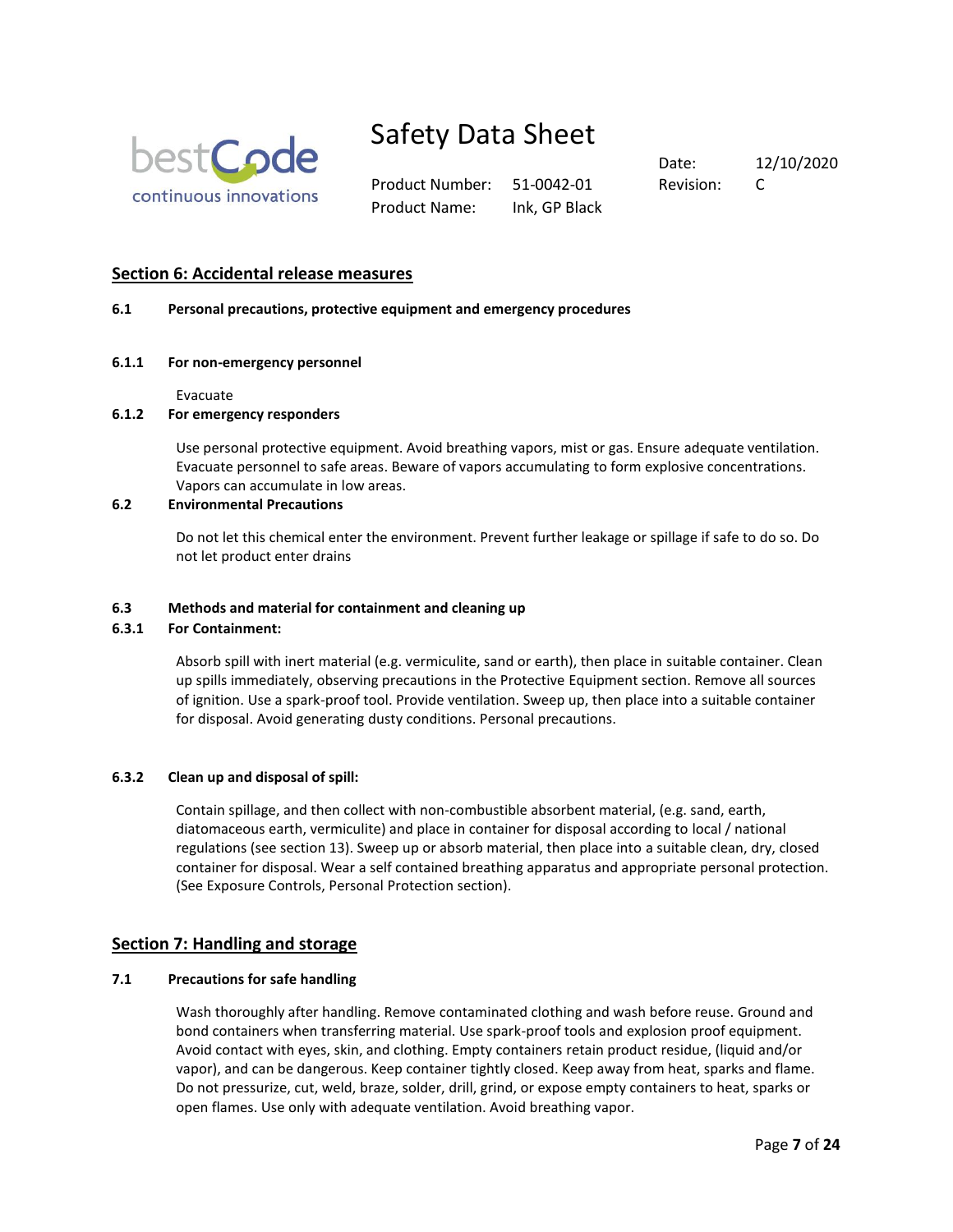

Product Number: 51-0042-01 Revision: C Product Name: Ink, GP Black

Date: 12/10/2020

# **Section 6: Accidental release measures**

### **6.1 Personal precautions, protective equipment and emergency procedures**

#### **6.1.1 For non-emergency personnel**

Evacuate

### **6.1.2 For emergency responders**

Use personal protective equipment. Avoid breathing vapors, mist or gas. Ensure adequate ventilation. Evacuate personnel to safe areas. Beware of vapors accumulating to form explosive concentrations. Vapors can accumulate in low areas.

# **6.2 Environmental Precautions**

Do not let this chemical enter the environment. Prevent further leakage or spillage if safe to do so. Do not let product enter drains

### **6.3 Methods and material for containment and cleaning up**

#### **6.3.1 For Containment:**

Absorb spill with inert material (e.g. vermiculite, sand or earth), then place in suitable container. Clean up spills immediately, observing precautions in the Protective Equipment section. Remove all sources of ignition. Use a spark-proof tool. Provide ventilation. Sweep up, then place into a suitable container for disposal. Avoid generating dusty conditions. Personal precautions.

# **6.3.2 Clean up and disposal of spill:**

Contain spillage, and then collect with non-combustible absorbent material, (e.g. sand, earth, diatomaceous earth, vermiculite) and place in container for disposal according to local / national regulations (see section 13). Sweep up or absorb material, then place into a suitable clean, dry, closed container for disposal. Wear a self contained breathing apparatus and appropriate personal protection. (See Exposure Controls, Personal Protection section).

# **Section 7: Handling and storage**

#### **7.1 Precautions for safe handling**

Wash thoroughly after handling. Remove contaminated clothing and wash before reuse. Ground and bond containers when transferring material. Use spark-proof tools and explosion proof equipment. Avoid contact with eyes, skin, and clothing. Empty containers retain product residue, (liquid and/or vapor), and can be dangerous. Keep container tightly closed. Keep away from heat, sparks and flame. Do not pressurize, cut, weld, braze, solder, drill, grind, or expose empty containers to heat, sparks or open flames. Use only with adequate ventilation. Avoid breathing vapor.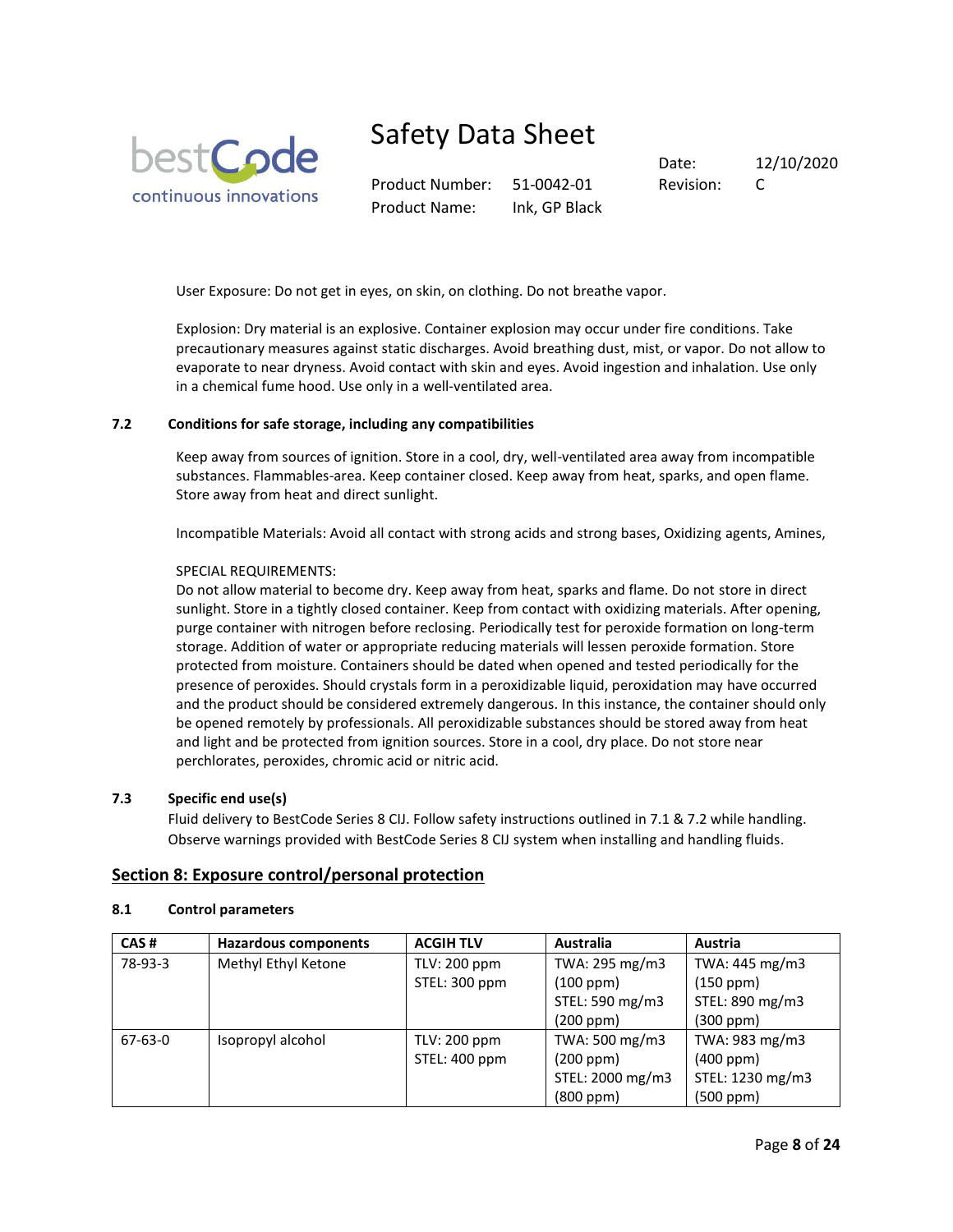

Product Number: 51-0042-01 Revision: C Product Name: Ink, GP Black

Date: 12/10/2020

User Exposure: Do not get in eyes, on skin, on clothing. Do not breathe vapor.

Explosion: Dry material is an explosive. Container explosion may occur under fire conditions. Take precautionary measures against static discharges. Avoid breathing dust, mist, or vapor. Do not allow to evaporate to near dryness. Avoid contact with skin and eyes. Avoid ingestion and inhalation. Use only in a chemical fume hood. Use only in a well-ventilated area.

### **7.2 Conditions for safe storage, including any compatibilities**

Keep away from sources of ignition. Store in a cool, dry, well-ventilated area away from incompatible substances. Flammables-area. Keep container closed. Keep away from heat, sparks, and open flame. Store away from heat and direct sunlight.

Incompatible Materials: Avoid all contact with strong acids and strong bases, Oxidizing agents, Amines,

#### SPECIAL REQUIREMENTS:

Do not allow material to become dry. Keep away from heat, sparks and flame. Do not store in direct sunlight. Store in a tightly closed container. Keep from contact with oxidizing materials. After opening, purge container with nitrogen before reclosing. Periodically test for peroxide formation on long-term storage. Addition of water or appropriate reducing materials will lessen peroxide formation. Store protected from moisture. Containers should be dated when opened and tested periodically for the presence of peroxides. Should crystals form in a peroxidizable liquid, peroxidation may have occurred and the product should be considered extremely dangerous. In this instance, the container should only be opened remotely by professionals. All peroxidizable substances should be stored away from heat and light and be protected from ignition sources. Store in a cool, dry place. Do not store near perchlorates, peroxides, chromic acid or nitric acid.

### **7.3 Specific end use(s)**

Fluid delivery to BestCode Series 8 CIJ. Follow safety instructions outlined in 7.1 & 7.2 while handling. Observe warnings provided with BestCode Series 8 CIJ system when installing and handling fluids.

#### **Section 8: Exposure control/personal protection**

#### **8.1 Control parameters**

| CAS#    | <b>Hazardous components</b> | <b>ACGIH TLV</b> | <b>Australia</b> | Austria          |
|---------|-----------------------------|------------------|------------------|------------------|
| 78-93-3 | Methyl Ethyl Ketone         | TLV: 200 ppm     | TWA: 295 mg/m3   | TWA: 445 mg/m3   |
|         |                             | STEL: 300 ppm    | (100 ppm)        | (150 ppm)        |
|         |                             |                  | STEL: 590 mg/m3  | STEL: 890 mg/m3  |
|         |                             |                  | (200 ppm)        | (300 ppm)        |
| 67-63-0 | Isopropyl alcohol           | TLV: 200 ppm     | TWA: 500 mg/m3   | TWA: 983 mg/m3   |
|         |                             | STEL: 400 ppm    | (200 ppm)        | $(400$ ppm $)$   |
|         |                             |                  | STEL: 2000 mg/m3 | STEL: 1230 mg/m3 |
|         |                             |                  | (800 ppm)        | $(500$ ppm $)$   |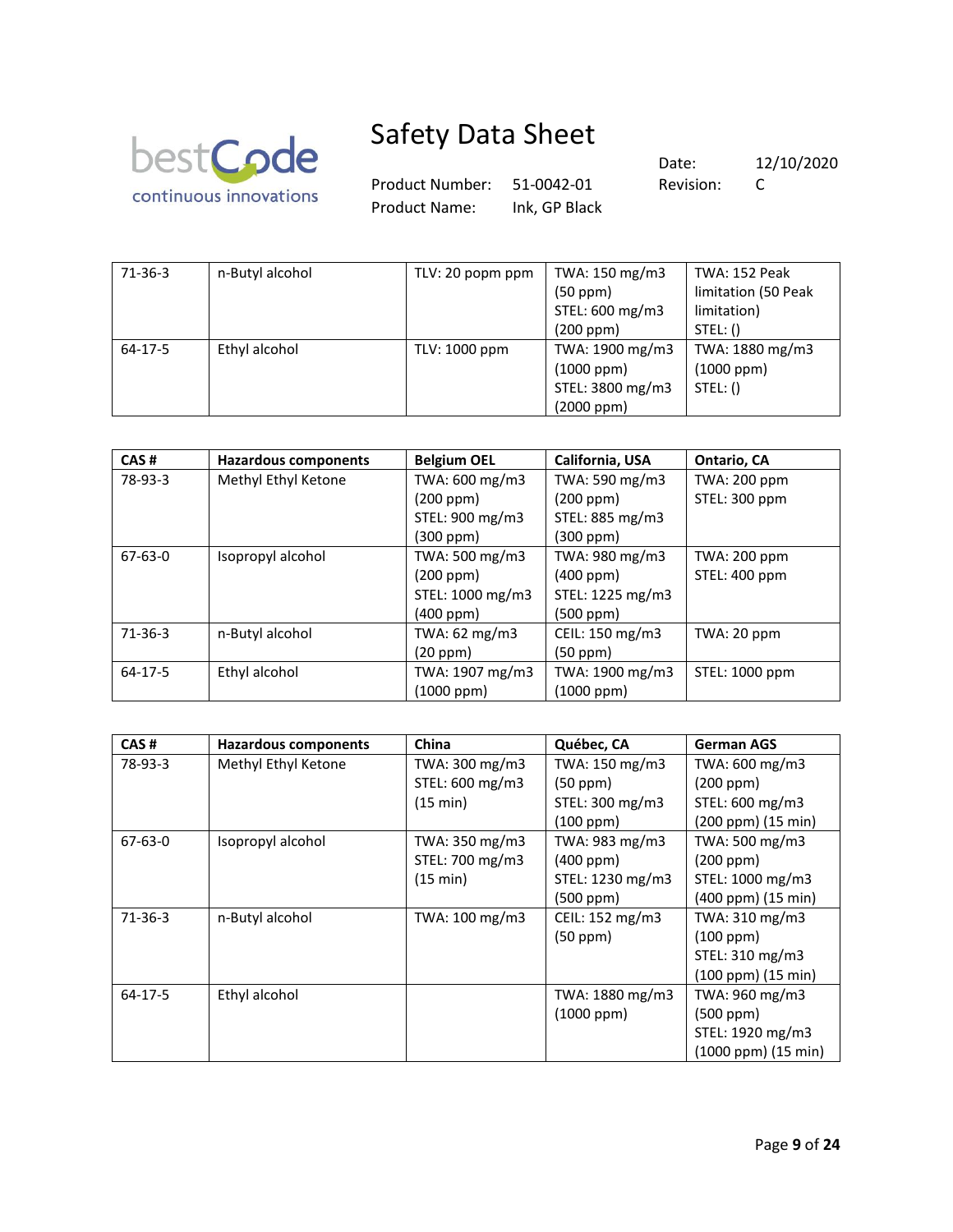

Product Number: 51-0042-01 Revision: C Product Name: Ink, GP Black

| $71-36-3$     | n-Butyl alcohol | TLV: 20 popm ppm | TWA: 150 mg/m3   | TWA: 152 Peak       |
|---------------|-----------------|------------------|------------------|---------------------|
|               |                 |                  | (50 ppm)         | limitation (50 Peak |
|               |                 |                  | STEL: 600 mg/m3  | limitation)         |
|               |                 |                  | (200 ppm)        | STEL: ()            |
| $64 - 17 - 5$ | Ethyl alcohol   | TLV: 1000 ppm    | TWA: 1900 mg/m3  | TWA: 1880 mg/m3     |
|               |                 |                  | $(1000$ ppm $)$  | $(1000$ ppm $)$     |
|               |                 |                  | STEL: 3800 mg/m3 | STEL: ()            |
|               |                 |                  | $(2000$ ppm $)$  |                     |

| CAS#          | <b>Hazardous components</b> | <b>Belgium OEL</b> | California, USA  | Ontario, CA    |
|---------------|-----------------------------|--------------------|------------------|----------------|
| 78-93-3       | Methyl Ethyl Ketone         | TWA: 600 mg/m3     | TWA: 590 mg/m3   | TWA: 200 ppm   |
|               |                             | (200 ppm)          | (200 ppm)        | STEL: 300 ppm  |
|               |                             | STEL: 900 mg/m3    | STEL: 885 mg/m3  |                |
|               |                             | $(300$ ppm $)$     | (300 ppm)        |                |
| $67 - 63 - 0$ | Isopropyl alcohol           | TWA: 500 mg/m3     | TWA: 980 mg/m3   | TWA: 200 ppm   |
|               |                             | (200 ppm)          | (400 ppm)        | STEL: 400 ppm  |
|               |                             | STEL: 1000 mg/m3   | STEL: 1225 mg/m3 |                |
|               |                             | $(400$ ppm $)$     | (500 ppm)        |                |
| $71 - 36 - 3$ | n-Butyl alcohol             | TWA: 62 mg/m3      | CEIL: 150 mg/m3  | TWA: 20 ppm    |
|               |                             | (20 ppm)           | $(50$ ppm $)$    |                |
| $64 - 17 - 5$ | Ethyl alcohol               | TWA: 1907 mg/m3    | TWA: 1900 mg/m3  | STEL: 1000 ppm |
|               |                             | $(1000$ ppm $)$    | (1000 ppm)       |                |

| CAS#          | <b>Hazardous components</b> | China           | Québec, CA       | <b>German AGS</b>          |
|---------------|-----------------------------|-----------------|------------------|----------------------------|
| 78-93-3       | Methyl Ethyl Ketone         | TWA: 300 mg/m3  | TWA: 150 mg/m3   | TWA: 600 mg/m3             |
|               |                             | STEL: 600 mg/m3 | (50 ppm)         | (200 ppm)                  |
|               |                             | (15 min)        | STEL: 300 mg/m3  | STEL: 600 mg/m3            |
|               |                             |                 | (100 ppm)        | (200 ppm) (15 min)         |
| $67 - 63 - 0$ | Isopropyl alcohol           | TWA: 350 mg/m3  | TWA: 983 mg/m3   | TWA: 500 mg/m3             |
|               |                             | STEL: 700 mg/m3 | $(400$ ppm $)$   | (200 ppm)                  |
|               |                             | (15 min)        | STEL: 1230 mg/m3 | STEL: 1000 mg/m3           |
|               |                             |                 | (500 ppm)        | (400 ppm) (15 min)         |
| $71-36-3$     | n-Butyl alcohol             | TWA: 100 mg/m3  | CEIL: 152 mg/m3  | TWA: 310 mg/m3             |
|               |                             |                 | $(50$ ppm $)$    | (100 ppm)                  |
|               |                             |                 |                  | STEL: 310 mg/m3            |
|               |                             |                 |                  | (100 ppm) (15 min)         |
| $64-17-5$     | Ethyl alcohol               |                 | TWA: 1880 mg/m3  | TWA: 960 mg/m3             |
|               |                             |                 | $(1000$ ppm $)$  | $(500$ ppm $)$             |
|               |                             |                 |                  | STEL: 1920 mg/m3           |
|               |                             |                 |                  | $(1000$ ppm $)(15$ min $)$ |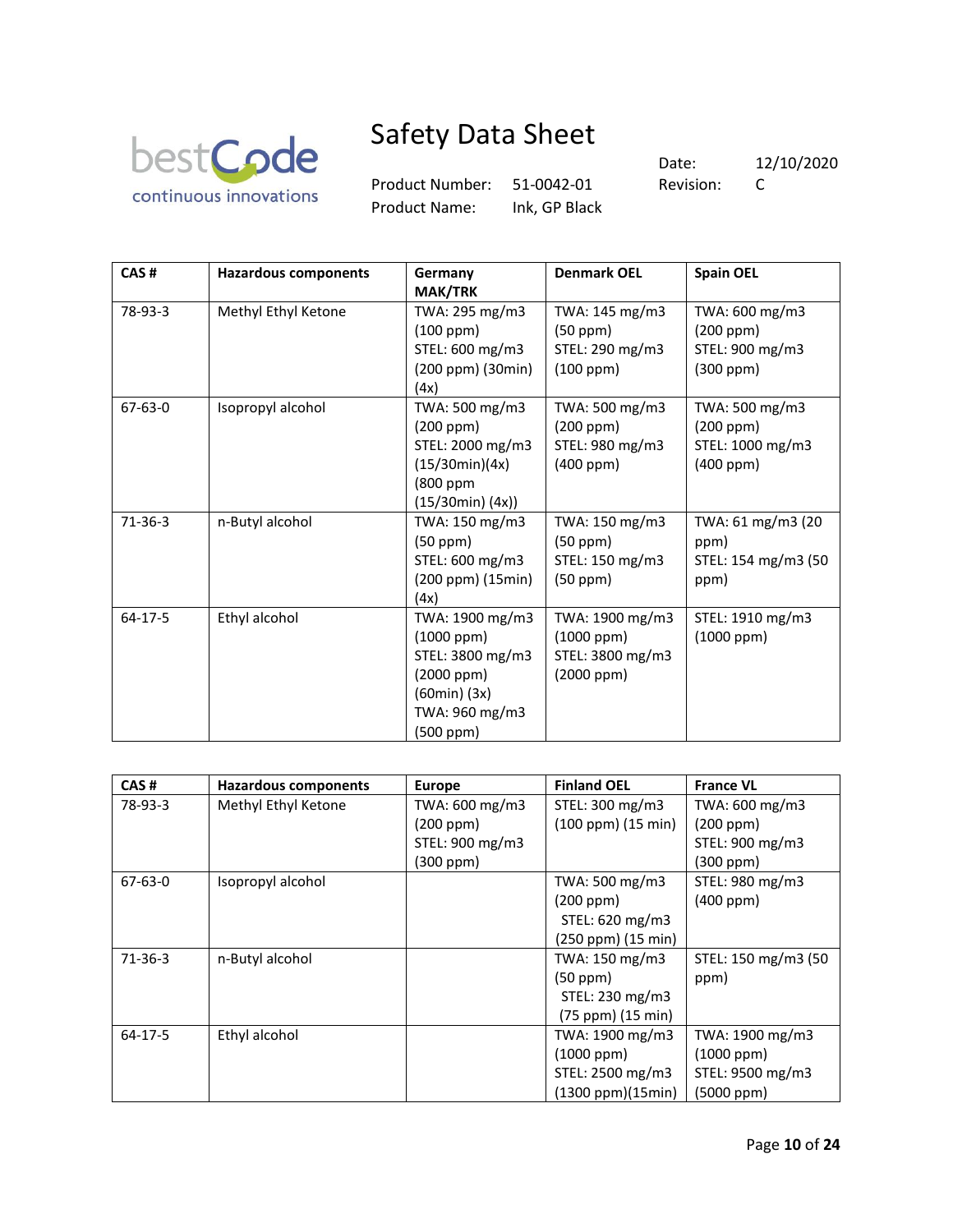

Product Number: 51-0042-01 Revision: C Product Name: Ink, GP Black

| CAS#      | <b>Hazardous components</b> | Germany<br><b>MAK/TRK</b>                                                                                               | <b>Denmark OEL</b>                                                   | <b>Spain OEL</b>                                                  |
|-----------|-----------------------------|-------------------------------------------------------------------------------------------------------------------------|----------------------------------------------------------------------|-------------------------------------------------------------------|
| 78-93-3   | Methyl Ethyl Ketone         | TWA: 295 mg/m3<br>$(100$ ppm $)$<br>STEL: 600 mg/m3<br>(200 ppm) (30min)<br>(4x)                                        | TWA: 145 mg/m3<br>$(50$ ppm $)$<br>STEL: 290 mg/m3<br>(100 ppm)      | TWA: 600 mg/m3<br>(200 ppm)<br>STEL: 900 mg/m3<br>(300 ppm)       |
| 67-63-0   | Isopropyl alcohol           | TWA: 500 mg/m3<br>(200 ppm)<br>STEL: 2000 mg/m3<br>(15/30min)(4x)<br>(800 ppm<br>$(15/30min)$ $(4x)$ )                  | TWA: 500 mg/m3<br>(200 ppm)<br>STEL: 980 mg/m3<br>(400 ppm)          | TWA: 500 mg/m3<br>(200 ppm)<br>STEL: 1000 mg/m3<br>$(400$ ppm $)$ |
| $71-36-3$ | n-Butyl alcohol             | TWA: 150 mg/m3<br>$(50$ ppm $)$<br>STEL: 600 mg/m3<br>(200 ppm) (15min)<br>(4x)                                         | TWA: 150 mg/m3<br>$(50$ ppm $)$<br>STEL: 150 mg/m3<br>$(50$ ppm $)$  | TWA: 61 mg/m3 (20<br>ppm)<br>STEL: 154 mg/m3 (50<br>ppm)          |
| $64-17-5$ | Ethyl alcohol               | TWA: 1900 mg/m3<br>$(1000$ ppm $)$<br>STEL: 3800 mg/m3<br>(2000 ppm)<br>$(60min)$ $(3x)$<br>TWA: 960 mg/m3<br>(500 ppm) | TWA: 1900 mg/m3<br>$(1000$ ppm $)$<br>STEL: 3800 mg/m3<br>(2000 ppm) | STEL: 1910 mg/m3<br>$(1000$ ppm $)$                               |

| CAS#          | <b>Hazardous components</b> | <b>Europe</b>   | <b>Finland OEL</b> | <b>France VL</b>    |
|---------------|-----------------------------|-----------------|--------------------|---------------------|
| 78-93-3       | Methyl Ethyl Ketone         | TWA: 600 mg/m3  | STEL: 300 mg/m3    | TWA: 600 mg/m3      |
|               |                             | (200 ppm)       | (100 ppm) (15 min) | (200 ppm)           |
|               |                             | STEL: 900 mg/m3 |                    | STEL: 900 mg/m3     |
|               |                             | $(300$ ppm $)$  |                    | $(300$ ppm $)$      |
| 67-63-0       | Isopropyl alcohol           |                 | TWA: 500 mg/m3     | STEL: 980 mg/m3     |
|               |                             |                 | (200 ppm)          | $(400$ ppm $)$      |
|               |                             |                 | STEL: 620 mg/m3    |                     |
|               |                             |                 | (250 ppm) (15 min) |                     |
| $71-36-3$     | n-Butyl alcohol             |                 | TWA: 150 mg/m3     | STEL: 150 mg/m3 (50 |
|               |                             |                 | (50 ppm)           | ppm)                |
|               |                             |                 | STEL: 230 mg/m3    |                     |
|               |                             |                 | (75 ppm) (15 min)  |                     |
| $64 - 17 - 5$ | Ethyl alcohol               |                 | TWA: 1900 mg/m3    | TWA: 1900 mg/m3     |
|               |                             |                 | $(1000$ ppm $)$    | $(1000$ ppm $)$     |
|               |                             |                 | STEL: 2500 mg/m3   | STEL: 9500 mg/m3    |
|               |                             |                 | (1300 ppm)(15min)  | (5000 ppm)          |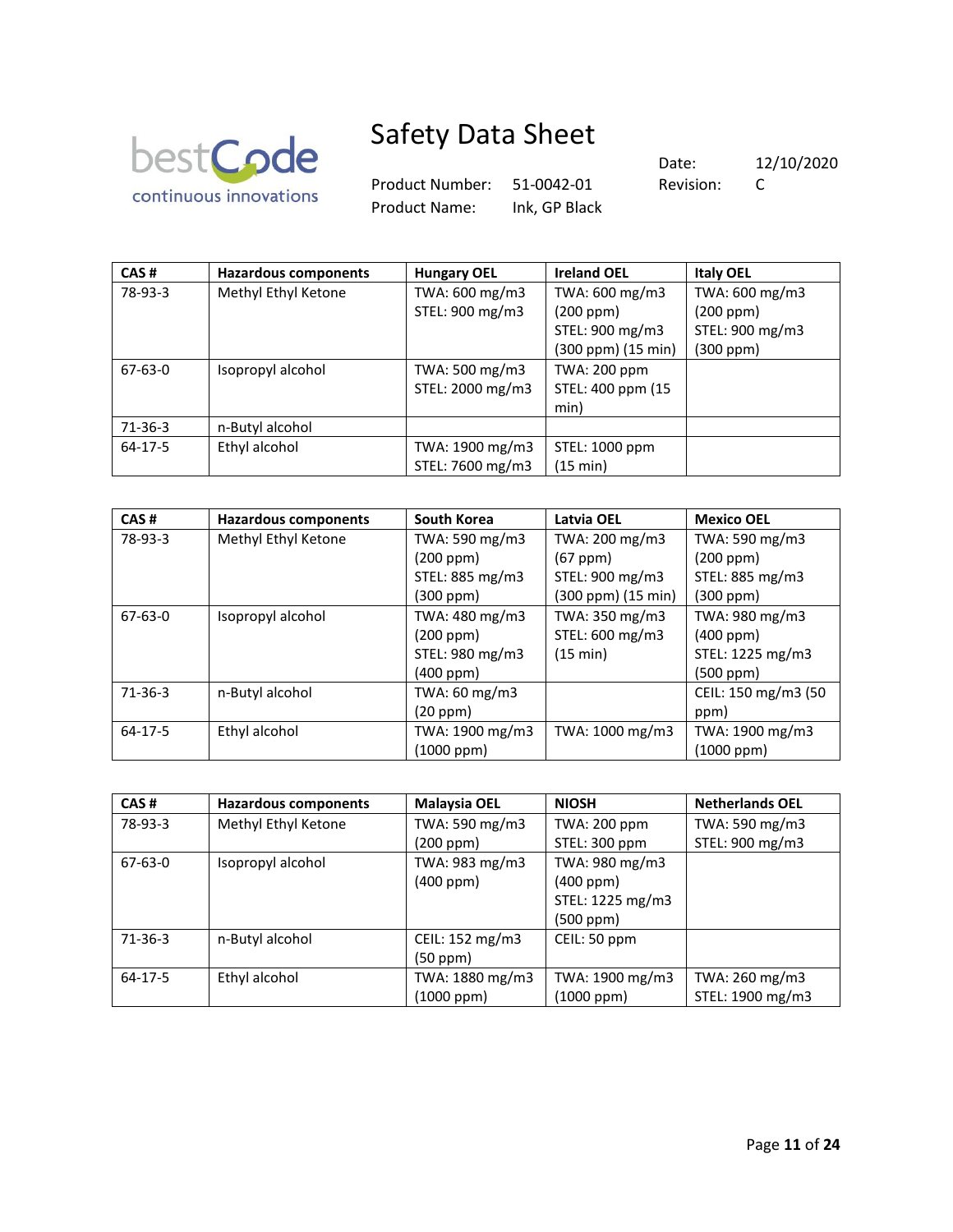

Product Number: 51-0042-01 Revision: C Product Name: Ink, GP Black

| CAS#          | <b>Hazardous components</b> | <b>Hungary OEL</b> | <b>Ireland OEL</b>  | <b>Italy OEL</b> |
|---------------|-----------------------------|--------------------|---------------------|------------------|
| 78-93-3       | Methyl Ethyl Ketone         | TWA: 600 mg/m3     | TWA: 600 mg/m3      | TWA: 600 mg/m3   |
|               |                             | STEL: 900 mg/m3    | (200 ppm)           | (200 ppm)        |
|               |                             |                    | STEL: 900 mg/m3     | STEL: 900 mg/m3  |
|               |                             |                    | (300 ppm) (15 min)  | (300 ppm)        |
| $67 - 63 - 0$ | Isopropyl alcohol           | TWA: 500 mg/m3     | <b>TWA: 200 ppm</b> |                  |
|               |                             | STEL: 2000 mg/m3   | STEL: 400 ppm (15   |                  |
|               |                             |                    | min)                |                  |
| $71-36-3$     | n-Butyl alcohol             |                    |                     |                  |
| $64-17-5$     | Ethyl alcohol               | TWA: 1900 mg/m3    | STEL: 1000 ppm      |                  |
|               |                             | STEL: 7600 mg/m3   | (15 min)            |                  |

| CAS#      | <b>Hazardous components</b> | <b>South Korea</b> | Latvia OEL         | <b>Mexico OEL</b>   |
|-----------|-----------------------------|--------------------|--------------------|---------------------|
| 78-93-3   | Methyl Ethyl Ketone         | TWA: 590 mg/m3     | TWA: 200 mg/m3     | TWA: 590 mg/m3      |
|           |                             | (200 ppm)          | $(67$ ppm $)$      | (200 ppm)           |
|           |                             | STEL: 885 mg/m3    | STEL: 900 mg/m3    | STEL: 885 mg/m3     |
|           |                             | $(300$ ppm $)$     | (300 ppm) (15 min) | (300 ppm)           |
| 67-63-0   | Isopropyl alcohol           | TWA: 480 mg/m3     | TWA: 350 mg/m3     | TWA: 980 mg/m3      |
|           |                             | (200 ppm)          | STEL: 600 mg/m3    | $(400$ ppm $)$      |
|           |                             | STEL: 980 mg/m3    | (15 min)           | STEL: 1225 mg/m3    |
|           |                             | (400 ppm)          |                    | (500 ppm)           |
| $71-36-3$ | n-Butyl alcohol             | TWA: 60 mg/m3      |                    | CEIL: 150 mg/m3 (50 |
|           |                             | (20 ppm)           |                    | ppm)                |
| 64-17-5   | Ethyl alcohol               | TWA: 1900 mg/m3    | TWA: 1000 mg/m3    | TWA: 1900 mg/m3     |
|           |                             | (1000 ppm)         |                    | $(1000$ ppm $)$     |

| CAS#      | <b>Hazardous components</b> | <b>Malaysia OEL</b> | <b>NIOSH</b>        | <b>Netherlands OEL</b> |
|-----------|-----------------------------|---------------------|---------------------|------------------------|
| 78-93-3   | Methyl Ethyl Ketone         | TWA: 590 mg/m3      | <b>TWA: 200 ppm</b> | TWA: 590 mg/m3         |
|           |                             | (200 ppm)           | STEL: 300 ppm       | STEL: 900 mg/m3        |
| 67-63-0   | Isopropyl alcohol           | TWA: 983 mg/m3      | TWA: 980 mg/m3      |                        |
|           |                             | $(400$ ppm $)$      | $(400$ ppm $)$      |                        |
|           |                             |                     | STEL: 1225 mg/m3    |                        |
|           |                             |                     | (500 ppm)           |                        |
| $71-36-3$ | n-Butyl alcohol             | CEIL: 152 mg/m3     | CEIL: 50 ppm        |                        |
|           |                             | $(50$ ppm $)$       |                     |                        |
| $64-17-5$ | Ethyl alcohol               | TWA: 1880 mg/m3     | TWA: 1900 mg/m3     | TWA: 260 mg/m3         |
|           |                             | (1000 ppm)          | (1000 ppm)          | STEL: 1900 mg/m3       |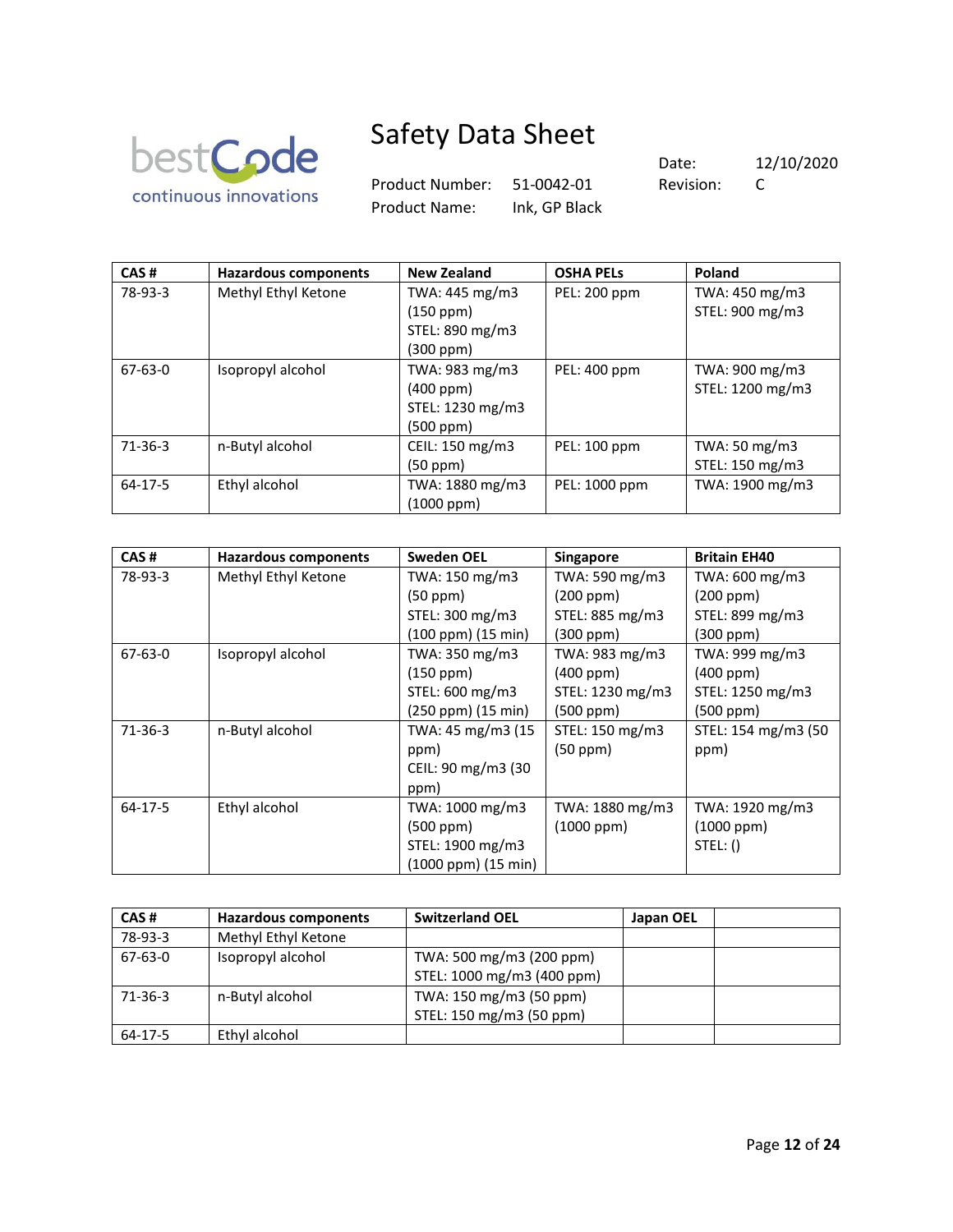

Product Number: 51-0042-01 Revision: C Product Name: Ink, GP Black

| CAS#          | <b>Hazardous components</b> | <b>New Zealand</b> | <b>OSHA PELS</b> | Poland           |
|---------------|-----------------------------|--------------------|------------------|------------------|
| 78-93-3       | Methyl Ethyl Ketone         | TWA: 445 mg/m3     | PEL: 200 ppm     | TWA: 450 mg/m3   |
|               |                             | (150 ppm)          |                  | STEL: 900 mg/m3  |
|               |                             | STEL: 890 mg/m3    |                  |                  |
|               |                             | (300 ppm)          |                  |                  |
| $67 - 63 - 0$ | Isopropyl alcohol           | TWA: 983 mg/m3     | PEL: 400 ppm     | TWA: 900 mg/m3   |
|               |                             | (400 ppm)          |                  | STEL: 1200 mg/m3 |
|               |                             | STEL: 1230 mg/m3   |                  |                  |
|               |                             | (500 ppm)          |                  |                  |
| $71-36-3$     | n-Butyl alcohol             | CEIL: 150 mg/m3    | PEL: 100 ppm     | TWA: 50 mg/m3    |
|               |                             | (50 ppm)           |                  | STEL: 150 mg/m3  |
| 64-17-5       | Ethyl alcohol               | TWA: 1880 mg/m3    | PEL: 1000 ppm    | TWA: 1900 mg/m3  |
|               |                             | (1000 ppm)         |                  |                  |

| CAS#          | <b>Hazardous components</b> | <b>Sweden OEL</b>   | Singapore        | <b>Britain EH40</b> |
|---------------|-----------------------------|---------------------|------------------|---------------------|
| 78-93-3       | Methyl Ethyl Ketone         | TWA: 150 mg/m3      | TWA: 590 mg/m3   | TWA: 600 mg/m3      |
|               |                             | (50 ppm)            | (200 ppm)        | (200 ppm)           |
|               |                             | STEL: 300 mg/m3     | STEL: 885 mg/m3  | STEL: 899 mg/m3     |
|               |                             | (100 ppm) (15 min)  | (300 ppm)        | (300 ppm)           |
| $67 - 63 - 0$ | Isopropyl alcohol           | TWA: 350 mg/m3      | TWA: 983 mg/m3   | TWA: 999 mg/m3      |
|               |                             | (150 ppm)           | (400 ppm)        | $(400$ ppm $)$      |
|               |                             | STEL: 600 mg/m3     | STEL: 1230 mg/m3 | STEL: 1250 mg/m3    |
|               |                             | (250 ppm) (15 min)  | $(500$ ppm $)$   | $(500$ ppm $)$      |
| $71-36-3$     | n-Butyl alcohol             | TWA: 45 mg/m3 (15   | STEL: 150 mg/m3  | STEL: 154 mg/m3 (50 |
|               |                             | ppm)                | (50 ppm)         | ppm)                |
|               |                             | CEIL: 90 mg/m3 (30  |                  |                     |
|               |                             | ppm)                |                  |                     |
| $64 - 17 - 5$ | Ethyl alcohol               | TWA: 1000 mg/m3     | TWA: 1880 mg/m3  | TWA: 1920 mg/m3     |
|               |                             | (500 ppm)           | $(1000$ ppm $)$  | $(1000$ ppm $)$     |
|               |                             | STEL: 1900 mg/m3    |                  | STEL: ()            |
|               |                             | (1000 ppm) (15 min) |                  |                     |

| CAS#          | Hazardous components | <b>Switzerland OEL</b>     | Japan OEL |  |
|---------------|----------------------|----------------------------|-----------|--|
| 78-93-3       | Methyl Ethyl Ketone  |                            |           |  |
| $67 - 63 - 0$ | Isopropyl alcohol    | TWA: 500 mg/m3 (200 ppm)   |           |  |
|               |                      | STEL: 1000 mg/m3 (400 ppm) |           |  |
| 71-36-3       | n-Butyl alcohol      | TWA: 150 mg/m3 (50 ppm)    |           |  |
|               |                      | STEL: 150 mg/m3 (50 ppm)   |           |  |
| 64-17-5       | Ethyl alcohol        |                            |           |  |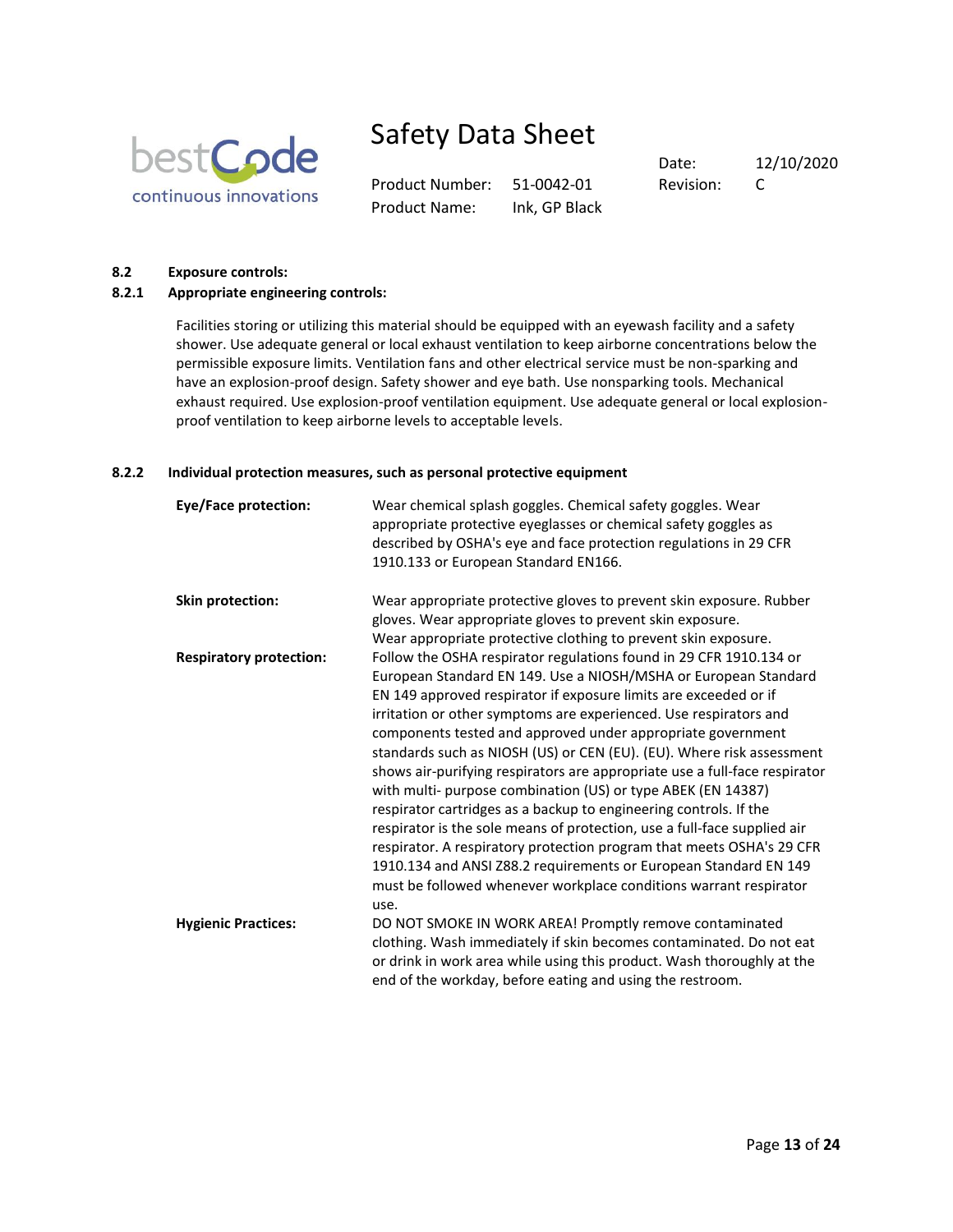

Product Number: 51-0042-01 Revision: C Product Name: Ink, GP Black

Date: 12/10/2020

#### **8.2 Exposure controls:**

## **8.2.1 Appropriate engineering controls:**

Facilities storing or utilizing this material should be equipped with an eyewash facility and a safety shower. Use adequate general or local exhaust ventilation to keep airborne concentrations below the permissible exposure limits. Ventilation fans and other electrical service must be non-sparking and have an explosion-proof design. Safety shower and eye bath. Use nonsparking tools. Mechanical exhaust required. Use explosion-proof ventilation equipment. Use adequate general or local explosionproof ventilation to keep airborne levels to acceptable levels.

### **8.2.2 Individual protection measures, such as personal protective equipment**

| Eye/Face protection:           | Wear chemical splash goggles. Chemical safety goggles. Wear<br>appropriate protective eyeglasses or chemical safety goggles as<br>described by OSHA's eye and face protection regulations in 29 CFR<br>1910.133 or European Standard EN166.                                                                                                                                                                                                                                                                                                                                                                                                                                                                                                                                                                                                                                                                                                     |
|--------------------------------|-------------------------------------------------------------------------------------------------------------------------------------------------------------------------------------------------------------------------------------------------------------------------------------------------------------------------------------------------------------------------------------------------------------------------------------------------------------------------------------------------------------------------------------------------------------------------------------------------------------------------------------------------------------------------------------------------------------------------------------------------------------------------------------------------------------------------------------------------------------------------------------------------------------------------------------------------|
| Skin protection:               | Wear appropriate protective gloves to prevent skin exposure. Rubber<br>gloves. Wear appropriate gloves to prevent skin exposure.<br>Wear appropriate protective clothing to prevent skin exposure.                                                                                                                                                                                                                                                                                                                                                                                                                                                                                                                                                                                                                                                                                                                                              |
| <b>Respiratory protection:</b> | Follow the OSHA respirator regulations found in 29 CFR 1910.134 or<br>European Standard EN 149. Use a NIOSH/MSHA or European Standard<br>EN 149 approved respirator if exposure limits are exceeded or if<br>irritation or other symptoms are experienced. Use respirators and<br>components tested and approved under appropriate government<br>standards such as NIOSH (US) or CEN (EU). (EU). Where risk assessment<br>shows air-purifying respirators are appropriate use a full-face respirator<br>with multi- purpose combination (US) or type ABEK (EN 14387)<br>respirator cartridges as a backup to engineering controls. If the<br>respirator is the sole means of protection, use a full-face supplied air<br>respirator. A respiratory protection program that meets OSHA's 29 CFR<br>1910.134 and ANSI Z88.2 requirements or European Standard EN 149<br>must be followed whenever workplace conditions warrant respirator<br>use. |
| <b>Hygienic Practices:</b>     | DO NOT SMOKE IN WORK AREA! Promptly remove contaminated<br>clothing. Wash immediately if skin becomes contaminated. Do not eat<br>or drink in work area while using this product. Wash thoroughly at the<br>end of the workday, before eating and using the restroom.                                                                                                                                                                                                                                                                                                                                                                                                                                                                                                                                                                                                                                                                           |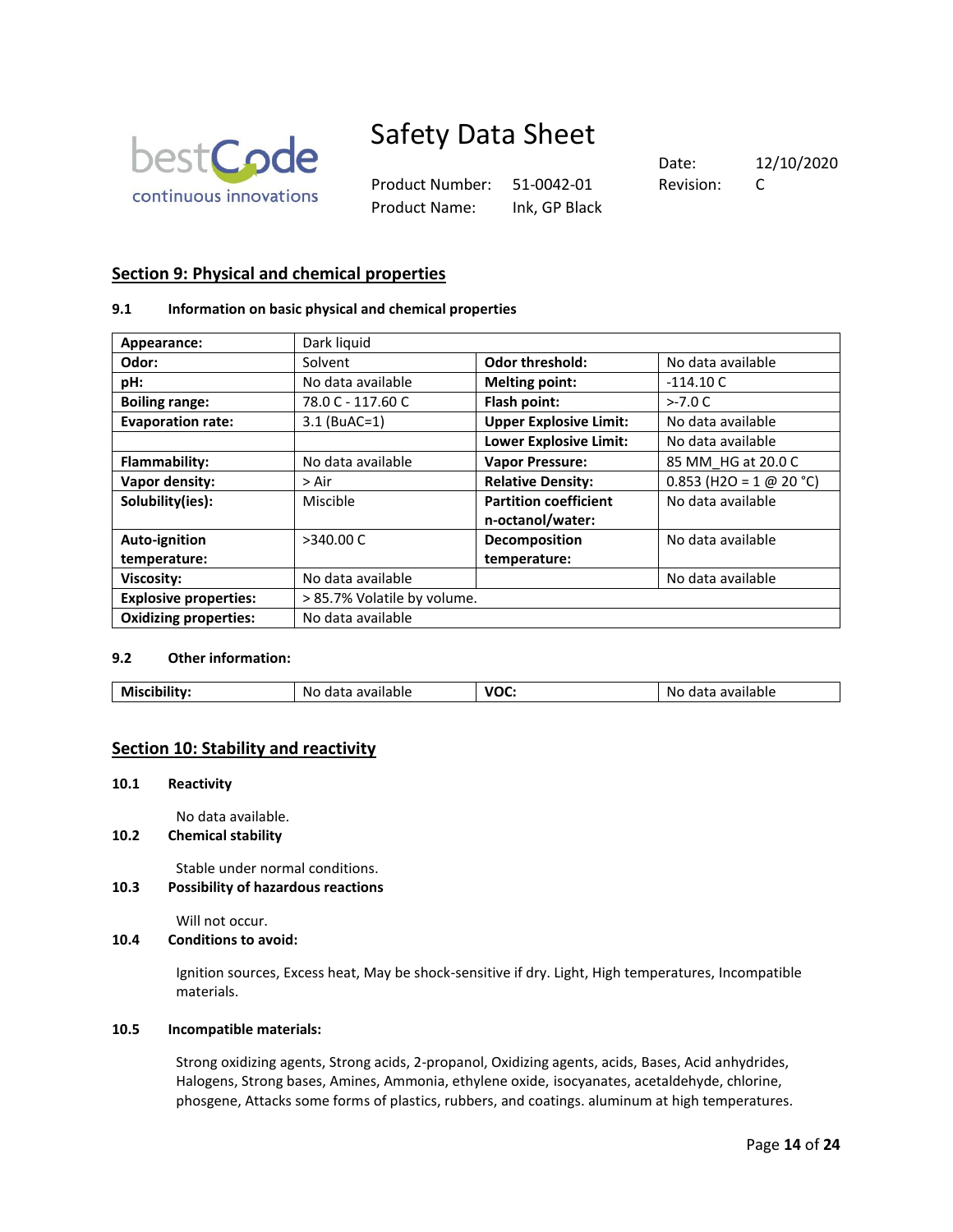

Product Number: 51-0042-01 Revision: C Product Name: Ink, GP Black

Date: 12/10/2020

# **Section 9: Physical and chemical properties**

### **9.1 Information on basic physical and chemical properties**

| Appearance:                  | Dark liquid                 |                               |                           |
|------------------------------|-----------------------------|-------------------------------|---------------------------|
| Odor:                        | Solvent                     | <b>Odor threshold:</b>        | No data available         |
| pH:                          | No data available           | <b>Melting point:</b>         | $-114.10C$                |
| <b>Boiling range:</b>        | 78.0 C - 117.60 C           | Flash point:                  | $>-7.0 C$                 |
| <b>Evaporation rate:</b>     | $3.1$ (BuAC=1)              | <b>Upper Explosive Limit:</b> | No data available         |
|                              |                             | <b>Lower Explosive Limit:</b> | No data available         |
| Flammability:                | No data available           | <b>Vapor Pressure:</b>        | 85 MM HG at 20.0 C        |
| Vapor density:               | > Air                       | <b>Relative Density:</b>      | $0.853$ (H2O = 1 @ 20 °C) |
| Solubility(ies):             | Miscible                    | <b>Partition coefficient</b>  | No data available         |
|                              |                             | n-octanol/water:              |                           |
| Auto-ignition                | >340.00 C                   | Decomposition                 | No data available         |
| temperature:                 |                             | temperature:                  |                           |
| Viscosity:                   | No data available           |                               | No data available         |
| <b>Explosive properties:</b> | > 85.7% Volatile by volume. |                               |                           |
| <b>Oxidizing properties:</b> | No data available           |                               |                           |

# **9.2 Other information:**

| voc<br>M<br>No<br>ЮIЕ<br>ine<br>20 M 21<br>ша<br>ана:<br>$\cdots$<br>. .<br>vv.<br>.<br>.<br>.<br>$\sim$<br>. |
|---------------------------------------------------------------------------------------------------------------|
|---------------------------------------------------------------------------------------------------------------|

# **Section 10: Stability and reactivity**

#### **10.1 Reactivity**

No data available.

**10.2 Chemical stability**

Stable under normal conditions.

**10.3 Possibility of hazardous reactions**

Will not occur.

**10.4 Conditions to avoid:** 

Ignition sources, Excess heat, May be shock-sensitive if dry. Light, High temperatures, Incompatible materials.

#### **10.5 Incompatible materials:**

Strong oxidizing agents, Strong acids, 2-propanol, Oxidizing agents, acids, Bases, Acid anhydrides, Halogens, Strong bases, Amines, Ammonia, ethylene oxide, isocyanates, acetaldehyde, chlorine, phosgene, Attacks some forms of plastics, rubbers, and coatings. aluminum at high temperatures.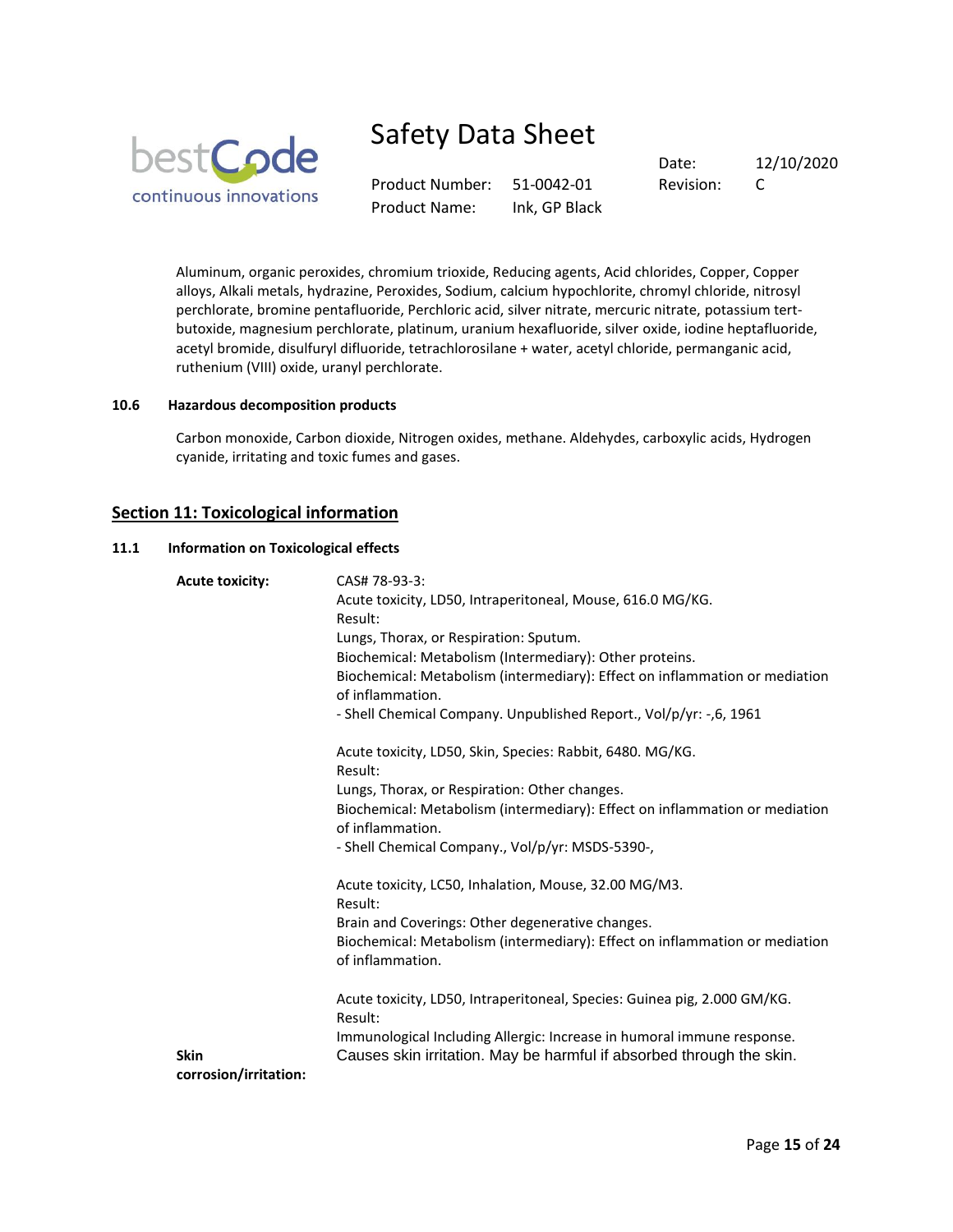

Product Number: 51-0042-01 Revision: C Product Name: Ink, GP Black

Date: 12/10/2020

Aluminum, organic peroxides, chromium trioxide, Reducing agents, Acid chlorides, Copper, Copper alloys, Alkali metals, hydrazine, Peroxides, Sodium, calcium hypochlorite, chromyl chloride, nitrosyl perchlorate, bromine pentafluoride, Perchloric acid, silver nitrate, mercuric nitrate, potassium tertbutoxide, magnesium perchlorate, platinum, uranium hexafluoride, silver oxide, iodine heptafluoride, acetyl bromide, disulfuryl difluoride, tetrachlorosilane + water, acetyl chloride, permanganic acid, ruthenium (VIII) oxide, uranyl perchlorate.

#### **10.6 Hazardous decomposition products**

Carbon monoxide, Carbon dioxide, Nitrogen oxides, methane. Aldehydes, carboxylic acids, Hydrogen cyanide, irritating and toxic fumes and gases.

# **Section 11: Toxicological information**

#### **11.1 Information on Toxicological effects**

| <b>Acute toxicity:</b>               | CAS# 78-93-3:<br>Acute toxicity, LD50, Intraperitoneal, Mouse, 616.0 MG/KG.<br>Result:<br>Lungs, Thorax, or Respiration: Sputum.<br>Biochemical: Metabolism (Intermediary): Other proteins.<br>Biochemical: Metabolism (intermediary): Effect on inflammation or mediation<br>of inflammation.<br>- Shell Chemical Company. Unpublished Report., Vol/p/yr: -,6, 1961 |
|--------------------------------------|----------------------------------------------------------------------------------------------------------------------------------------------------------------------------------------------------------------------------------------------------------------------------------------------------------------------------------------------------------------------|
|                                      | Acute toxicity, LD50, Skin, Species: Rabbit, 6480. MG/KG.<br>Result:<br>Lungs, Thorax, or Respiration: Other changes.<br>Biochemical: Metabolism (intermediary): Effect on inflammation or mediation<br>of inflammation.<br>- Shell Chemical Company., Vol/p/yr: MSDS-5390-,                                                                                         |
|                                      | Acute toxicity, LC50, Inhalation, Mouse, 32.00 MG/M3.<br>Result:<br>Brain and Coverings: Other degenerative changes.<br>Biochemical: Metabolism (intermediary): Effect on inflammation or mediation<br>of inflammation.                                                                                                                                              |
| <b>Skin</b><br>corrosion/irritation: | Acute toxicity, LD50, Intraperitoneal, Species: Guinea pig, 2.000 GM/KG.<br>Result:<br>Immunological Including Allergic: Increase in humoral immune response.<br>Causes skin irritation. May be harmful if absorbed through the skin.                                                                                                                                |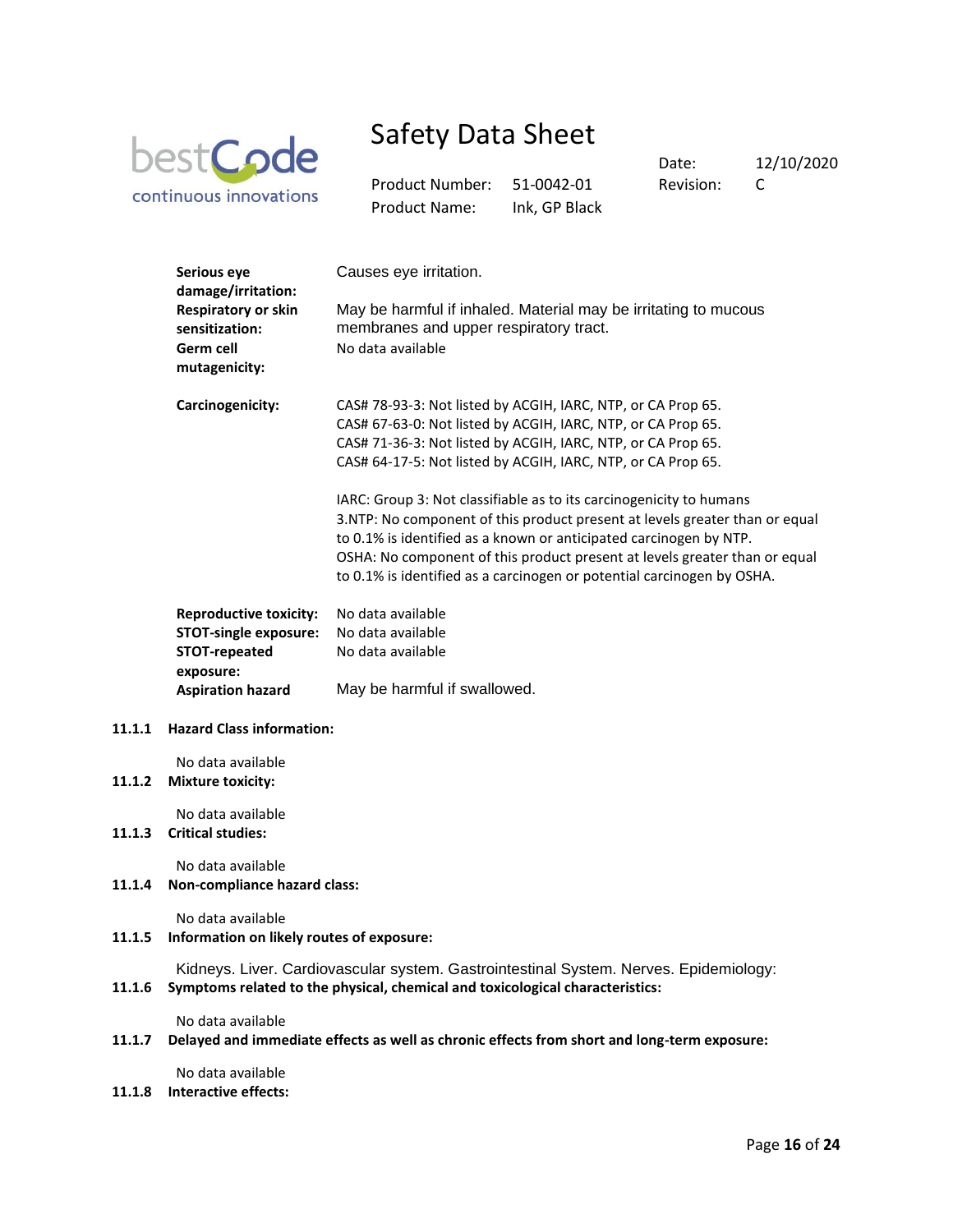

Product Number: 51-0042-01 Revision: C Product Name: Ink, GP Black

Date: 12/10/2020

| Serious eye<br>damage/irritation:                         | Causes eye irritation.                                                                                                                                                                                                                                                                                                                                                           |
|-----------------------------------------------------------|----------------------------------------------------------------------------------------------------------------------------------------------------------------------------------------------------------------------------------------------------------------------------------------------------------------------------------------------------------------------------------|
| <b>Respiratory or skin</b><br>sensitization:<br>Germ cell | May be harmful if inhaled. Material may be irritating to mucous<br>membranes and upper respiratory tract.<br>No data available                                                                                                                                                                                                                                                   |
| mutagenicity:                                             |                                                                                                                                                                                                                                                                                                                                                                                  |
| Carcinogenicity:                                          | CAS# 78-93-3: Not listed by ACGIH, IARC, NTP, or CA Prop 65.<br>CAS# 67-63-0: Not listed by ACGIH, IARC, NTP, or CA Prop 65.<br>CAS# 71-36-3: Not listed by ACGIH, IARC, NTP, or CA Prop 65.                                                                                                                                                                                     |
|                                                           | CAS# 64-17-5: Not listed by ACGIH, IARC, NTP, or CA Prop 65.                                                                                                                                                                                                                                                                                                                     |
|                                                           | IARC: Group 3: Not classifiable as to its carcinogenicity to humans<br>3.NTP: No component of this product present at levels greater than or equal<br>to 0.1% is identified as a known or anticipated carcinogen by NTP.<br>OSHA: No component of this product present at levels greater than or equal<br>to 0.1% is identified as a carcinogen or potential carcinogen by OSHA. |
| <b>Reproductive toxicity:</b>                             | No data available                                                                                                                                                                                                                                                                                                                                                                |
| <b>STOT-single exposure:</b>                              | No data available                                                                                                                                                                                                                                                                                                                                                                |
| STOT-repeated<br>exposure:                                | No data available                                                                                                                                                                                                                                                                                                                                                                |
| <b>Aspiration hazard</b>                                  | May be harmful if swallowed.                                                                                                                                                                                                                                                                                                                                                     |
| <b>Hazard Class information:</b>                          |                                                                                                                                                                                                                                                                                                                                                                                  |
| No data available<br><b>Mixture toxicity:</b>             |                                                                                                                                                                                                                                                                                                                                                                                  |
| No data available<br><b>Critical studies:</b>             |                                                                                                                                                                                                                                                                                                                                                                                  |
| No data available                                         |                                                                                                                                                                                                                                                                                                                                                                                  |

**11.1.4 Non-compliance hazard class:** 

 $11.1.1$ 

 $11.1.2$ 

**11.1.3** 

No data available

**11.1.5 Information on likely routes of exposure:** 

Kidneys. Liver. Cardiovascular system. Gastrointestinal System. Nerves. Epidemiology:

**11.1.6 Symptoms related to the physical, chemical and toxicological characteristics:** 

No data available

**11.1.7 Delayed and immediate effects as well as chronic effects from short and long-term exposure:** 

No data available

**11.1.8 Interactive effects:**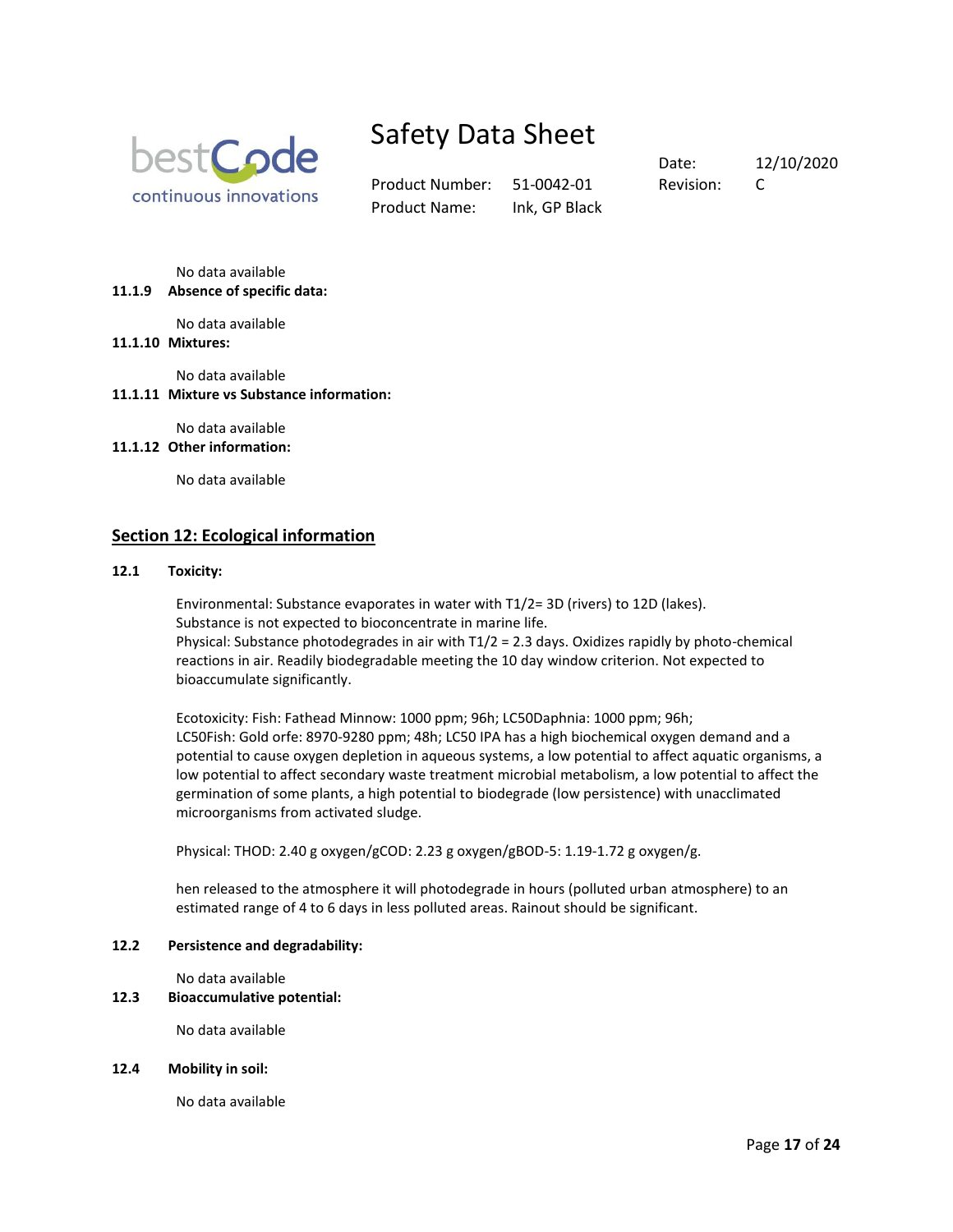

Product Number: 51-0042-01 Revision: C Product Name: Ink, GP Black

Date: 12/10/2020

No data available

**11.1.9 Absence of specific data:** 

No data available

# **11.1.10 Mixtures:**

No data available

# **11.1.11 Mixture vs Substance information:**

No data available

# **11.1.12 Other information:**

No data available

# **Section 12: Ecological information**

#### **12.1 Toxicity:**

Environmental: Substance evaporates in water with T1/2= 3D (rivers) to 12D (lakes). Substance is not expected to bioconcentrate in marine life. Physical: Substance photodegrades in air with T1/2 = 2.3 days. Oxidizes rapidly by photo-chemical reactions in air. Readily biodegradable meeting the 10 day window criterion. Not expected to bioaccumulate significantly.

Ecotoxicity: Fish: Fathead Minnow: 1000 ppm; 96h; LC50Daphnia: 1000 ppm; 96h; LC50Fish: Gold orfe: 8970-9280 ppm; 48h; LC50 IPA has a high biochemical oxygen demand and a potential to cause oxygen depletion in aqueous systems, a low potential to affect aquatic organisms, a low potential to affect secondary waste treatment microbial metabolism, a low potential to affect the germination of some plants, a high potential to biodegrade (low persistence) with unacclimated microorganisms from activated sludge.

Physical: THOD: 2.40 g oxygen/gCOD: 2.23 g oxygen/gBOD-5: 1.19-1.72 g oxygen/g.

hen released to the atmosphere it will photodegrade in hours (polluted urban atmosphere) to an estimated range of 4 to 6 days in less polluted areas. Rainout should be significant.

#### **12.2 Persistence and degradability:**

No data available

#### **12.3 Bioaccumulative potential:**

No data available

#### **12.4 Mobility in soil:**

No data available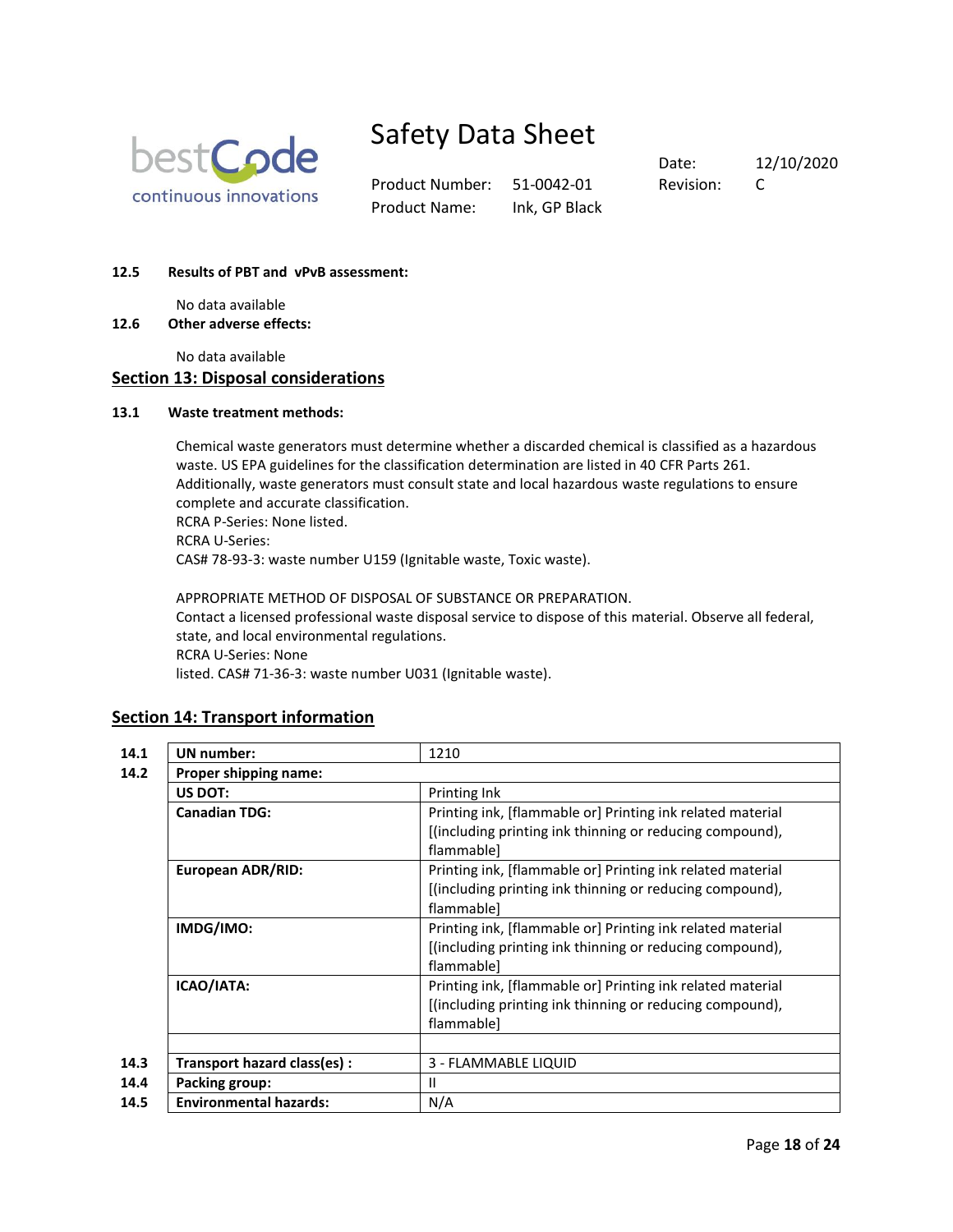

Product Number: 51-0042-01 Revision: C Product Name: Ink, GP Black

Date: 12/10/2020

### **12.5 Results of PBT and vPvB assessment:**

No data available

**12.6 Other adverse effects:**

No data available

# **Section 13: Disposal considerations**

#### **13.1 Waste treatment methods:**

Chemical waste generators must determine whether a discarded chemical is classified as a hazardous waste. US EPA guidelines for the classification determination are listed in 40 CFR Parts 261. Additionally, waste generators must consult state and local hazardous waste regulations to ensure complete and accurate classification. RCRA P-Series: None listed. RCRA U-Series: CAS# 78-93-3: waste number U159 (Ignitable waste, Toxic waste).

APPROPRIATE METHOD OF DISPOSAL OF SUBSTANCE OR PREPARATION. Contact a licensed professional waste disposal service to dispose of this material. Observe all federal, state, and local environmental regulations. RCRA U-Series: None listed. CAS# 71-36-3: waste number U031 (Ignitable waste).

# **Section 14: Transport information**

| <b>UN</b> number:             | 1210                                                                                                                                 |  |  |
|-------------------------------|--------------------------------------------------------------------------------------------------------------------------------------|--|--|
| Proper shipping name:         |                                                                                                                                      |  |  |
| US DOT:                       | Printing Ink                                                                                                                         |  |  |
| <b>Canadian TDG:</b>          | Printing ink, [flammable or] Printing ink related material<br>[(including printing ink thinning or reducing compound),<br>flammable] |  |  |
| <b>European ADR/RID:</b>      | Printing ink, [flammable or] Printing ink related material<br>[(including printing ink thinning or reducing compound),<br>flammable] |  |  |
| IMDG/IMO:                     | Printing ink, [flammable or] Printing ink related material<br>[(including printing ink thinning or reducing compound),<br>flammable] |  |  |
| ICAO/IATA:                    | Printing ink, [flammable or] Printing ink related material<br>[(including printing ink thinning or reducing compound),<br>flammable] |  |  |
| Transport hazard class(es):   | 3 - FLAMMABLE LIQUID                                                                                                                 |  |  |
| Packing group:                | $\mathbf{H}$                                                                                                                         |  |  |
| <b>Environmental hazards:</b> | N/A                                                                                                                                  |  |  |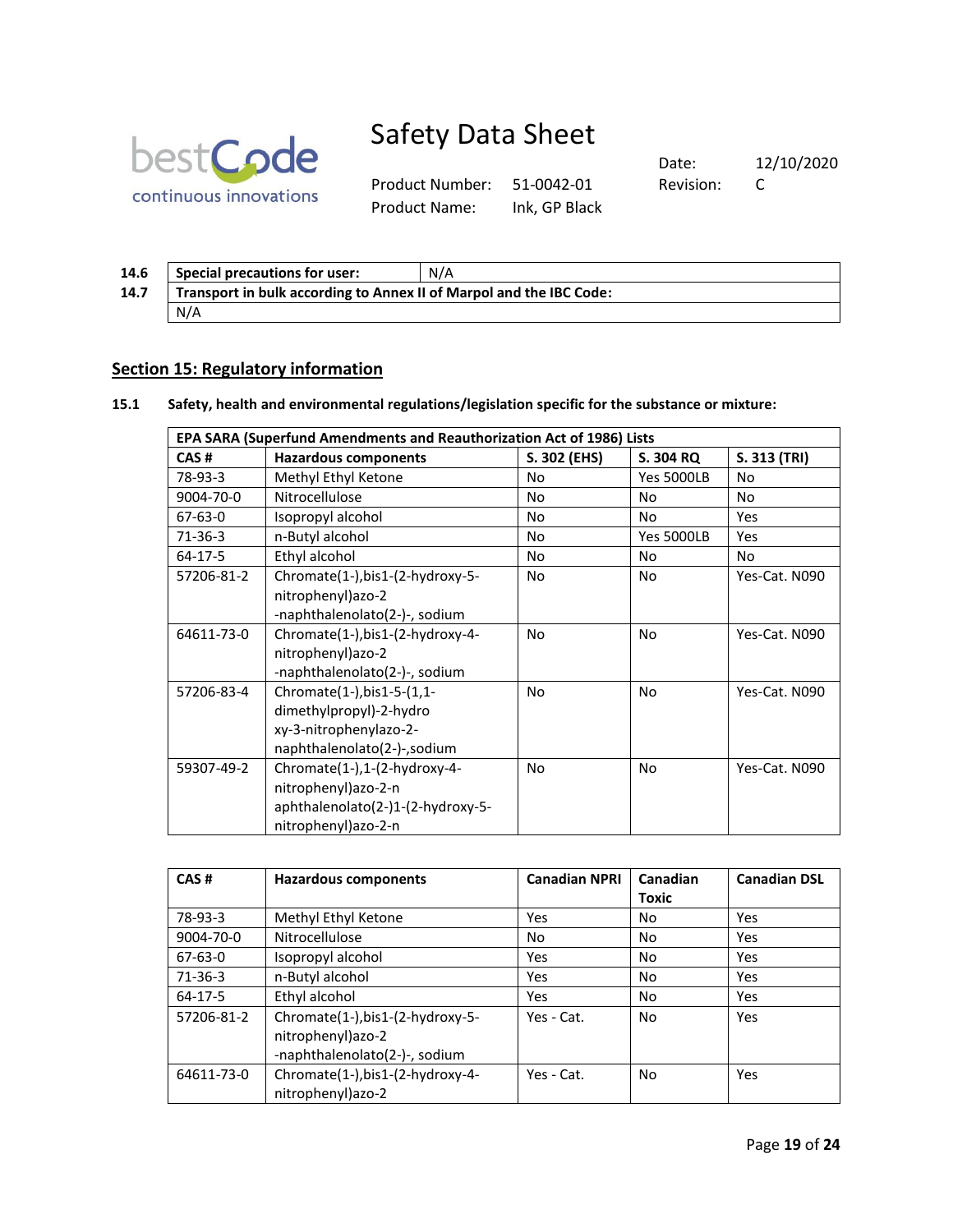

Product Number: 51-0042-01 Revision: C Product Name: Ink, GP Black

Date: 12/10/2020

| 14.6 | <b>Special precautions for user:</b>                                | N/A |  |  |  |  |
|------|---------------------------------------------------------------------|-----|--|--|--|--|
| 14.7 | Transport in bulk according to Annex II of Marpol and the IBC Code: |     |  |  |  |  |
|      | N/A                                                                 |     |  |  |  |  |

# **Section 15: Regulatory information**

# **15.1 Safety, health and environmental regulations/legislation specific for the substance or mixture:**

| EPA SARA (Superfund Amendments and Reauthorization Act of 1986) Lists                                                        |                                                                                                                 |              |                   |               |  |
|------------------------------------------------------------------------------------------------------------------------------|-----------------------------------------------------------------------------------------------------------------|--------------|-------------------|---------------|--|
| CAS#                                                                                                                         | <b>Hazardous components</b>                                                                                     | S. 302 (EHS) | S. 304 RQ         | S. 313 (TRI)  |  |
| 78-93-3                                                                                                                      | Methyl Ethyl Ketone                                                                                             | No           | <b>Yes 5000LB</b> | No            |  |
| 9004-70-0                                                                                                                    | Nitrocellulose                                                                                                  | No           | <b>No</b>         | No.           |  |
| $67 - 63 - 0$                                                                                                                | Isopropyl alcohol                                                                                               | No           | No                | Yes           |  |
| $71-36-3$                                                                                                                    | n-Butyl alcohol                                                                                                 |              | <b>Yes 5000LB</b> | Yes           |  |
| $64 - 17 - 5$                                                                                                                | Ethyl alcohol                                                                                                   | No           | No                | <b>No</b>     |  |
| 57206-81-2                                                                                                                   | Chromate(1-),bis1-(2-hydroxy-5-<br>nitrophenyl) azo-2<br>-naphthalenolato(2-)-, sodium                          | <b>No</b>    | No.               | Yes-Cat. N090 |  |
| 64611-73-0                                                                                                                   | Chromate(1-), bis1-(2-hydroxy-4-<br>nitrophenyl)azo-2<br>-naphthalenolato(2-)-, sodium                          | No           | <b>No</b>         | Yes-Cat. N090 |  |
| Chromate(1-), bis1-5-(1,1-<br>57206-83-4<br>dimethylpropyl)-2-hydro<br>xy-3-nitrophenylazo-2-<br>naphthalenolato(2-)-,sodium |                                                                                                                 | No           | No                | Yes-Cat. N090 |  |
| 59307-49-2                                                                                                                   | Chromate(1-),1-(2-hydroxy-4-<br>nitrophenyl)azo-2-n<br>aphthalenolato(2-)1-(2-hydroxy-5-<br>nitrophenyl)azo-2-n | <b>No</b>    | No                | Yes-Cat. N090 |  |

| CAS#          | <b>Hazardous components</b>                                                            | <b>Canadian NPRI</b> | Canadian | <b>Canadian DSL</b> |
|---------------|----------------------------------------------------------------------------------------|----------------------|----------|---------------------|
|               |                                                                                        |                      | Toxic    |                     |
| 78-93-3       | Methyl Ethyl Ketone                                                                    | Yes                  | No       | Yes                 |
| 9004-70-0     | Nitrocellulose                                                                         | <b>No</b>            | No       | Yes                 |
| 67-63-0       | Isopropyl alcohol                                                                      | Yes                  | No       | Yes                 |
| $71-36-3$     | n-Butyl alcohol                                                                        | Yes                  | No       | Yes                 |
| $64 - 17 - 5$ | Ethyl alcohol                                                                          | Yes                  | No       | <b>Yes</b>          |
| 57206-81-2    | Chromate(1-),bis1-(2-hydroxy-5-<br>nitrophenyl) azo-2<br>-naphthalenolato(2-)-, sodium | Yes - Cat.           | No       | Yes                 |
| 64611-73-0    | Chromate(1-),bis1-(2-hydroxy-4-<br>nitrophenyl)azo-2                                   | Yes - Cat.           | No       | Yes                 |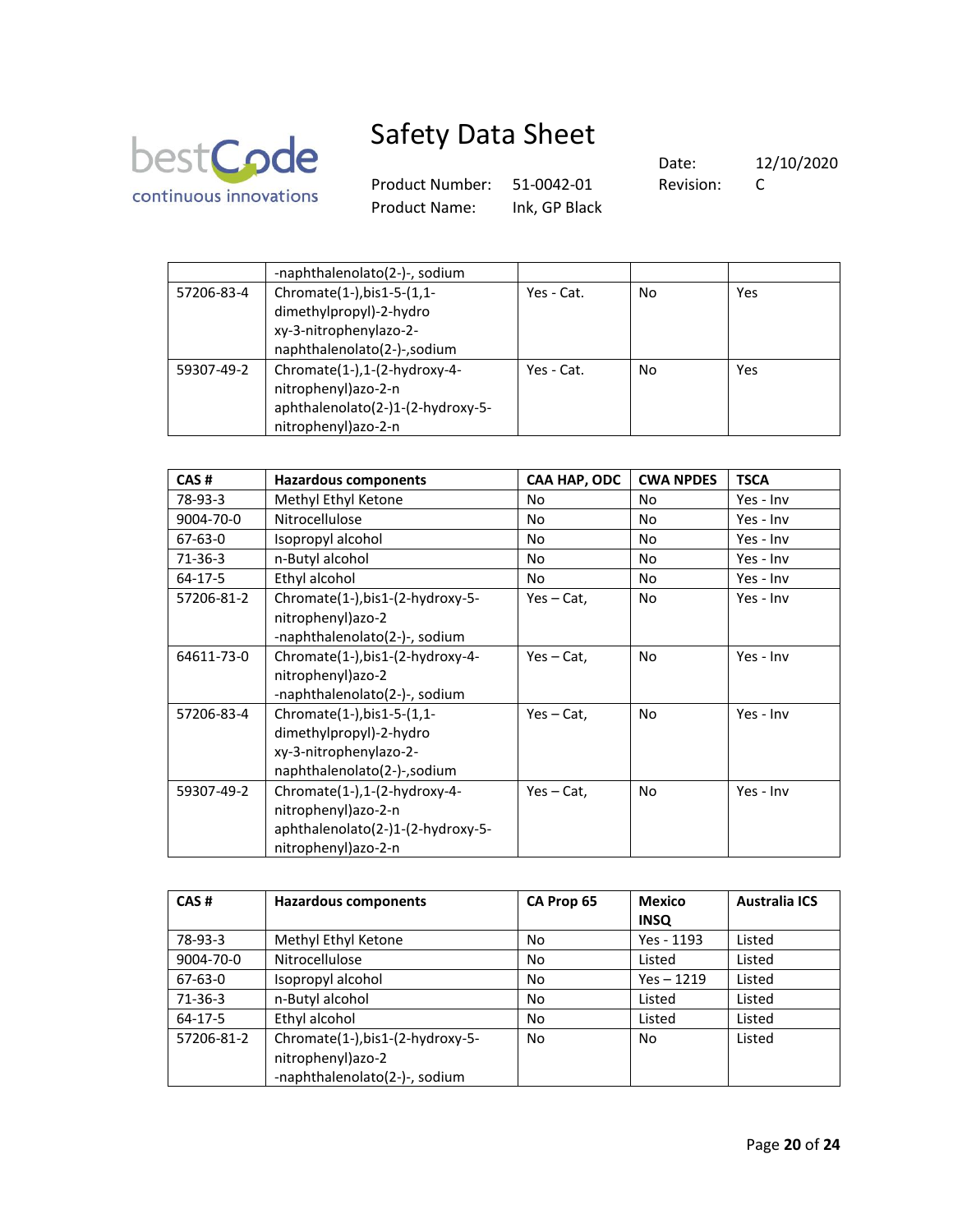

Product Number: 51-0042-01 Revision: C Product Name: Ink, GP Black

|            | -naphthalenolato(2-)-, sodium     |            |    |     |
|------------|-----------------------------------|------------|----|-----|
| 57206-83-4 | Chromate(1-), bis1-5-(1,1-        | Yes - Cat. | No | Yes |
|            | dimethylpropyl)-2-hydro           |            |    |     |
|            | xy-3-nitrophenylazo-2-            |            |    |     |
|            | naphthalenolato(2-)-,sodium       |            |    |     |
| 59307-49-2 | Chromate(1-),1-(2-hydroxy-4-      | Yes - Cat. | No | Yes |
|            | nitrophenyl)azo-2-n               |            |    |     |
|            | aphthalenolato(2-)1-(2-hydroxy-5- |            |    |     |
|            | nitrophenyl)azo-2-n               |            |    |     |

| CAS#          | <b>Hazardous components</b>       | CAA HAP, ODC  | <b>CWA NPDES</b> | <b>TSCA</b> |
|---------------|-----------------------------------|---------------|------------------|-------------|
| 78-93-3       | Methyl Ethyl Ketone               | No            | No               | Yes - Inv   |
| 9004-70-0     | Nitrocellulose                    | No            | No               | Yes - Inv   |
| $67 - 63 - 0$ | Isopropyl alcohol                 | No            | <b>No</b>        | Yes - Inv   |
| $71-36-3$     | n-Butyl alcohol                   | No            | No               | Yes - Inv   |
| 64-17-5       | Ethyl alcohol                     | No            | No               | Yes - Inv   |
| 57206-81-2    | Chromate(1-), bis1-(2-hydroxy-5-  | $Yes - Cat$ , | No               | Yes - Inv   |
|               | nitrophenyl)azo-2                 |               |                  |             |
|               | -naphthalenolato(2-)-, sodium     |               |                  |             |
| 64611-73-0    | Chromate(1-),bis1-(2-hydroxy-4-   | $Yes - Cat.$  | No               | Yes - Inv   |
|               | nitrophenyl) azo-2                |               |                  |             |
|               | -naphthalenolato(2-)-, sodium     |               |                  |             |
| 57206-83-4    | Chromate(1-), bis1-5-(1,1-        | $Yes - Cat$ , | No               | Yes - Inv   |
|               | dimethylpropyl)-2-hydro           |               |                  |             |
|               | xy-3-nitrophenylazo-2-            |               |                  |             |
|               | naphthalenolato(2-)-,sodium       |               |                  |             |
| 59307-49-2    | Chromate(1-),1-(2-hydroxy-4-      | $Yes - Cat$ , | No               | Yes - Inv   |
|               | nitrophenyl) azo-2-n              |               |                  |             |
|               | aphthalenolato(2-)1-(2-hydroxy-5- |               |                  |             |
|               | nitrophenyl)azo-2-n               |               |                  |             |

| CAS#          | <b>Hazardous components</b>                           | CA Prop 65 | <b>Mexico</b><br><b>INSQ</b> | <b>Australia ICS</b> |
|---------------|-------------------------------------------------------|------------|------------------------------|----------------------|
| 78-93-3       | Methyl Ethyl Ketone                                   | No         | Yes - 1193                   | Listed               |
| 9004-70-0     | Nitrocellulose                                        | No         | Listed                       | Listed               |
| $67 - 63 - 0$ | Isopropyl alcohol                                     | No         | $Yes - 1219$                 | Listed               |
| 71-36-3       | n-Butyl alcohol                                       | No         | Listed                       | Listed               |
| 64-17-5       | Ethyl alcohol                                         | No         | Listed                       | Listed               |
| 57206-81-2    | Chromate(1-), bis1-(2-hydroxy-5-<br>nitrophenyl)azo-2 | No         | No                           | Listed               |
|               | -naphthalenolato(2-)-, sodium                         |            |                              |                      |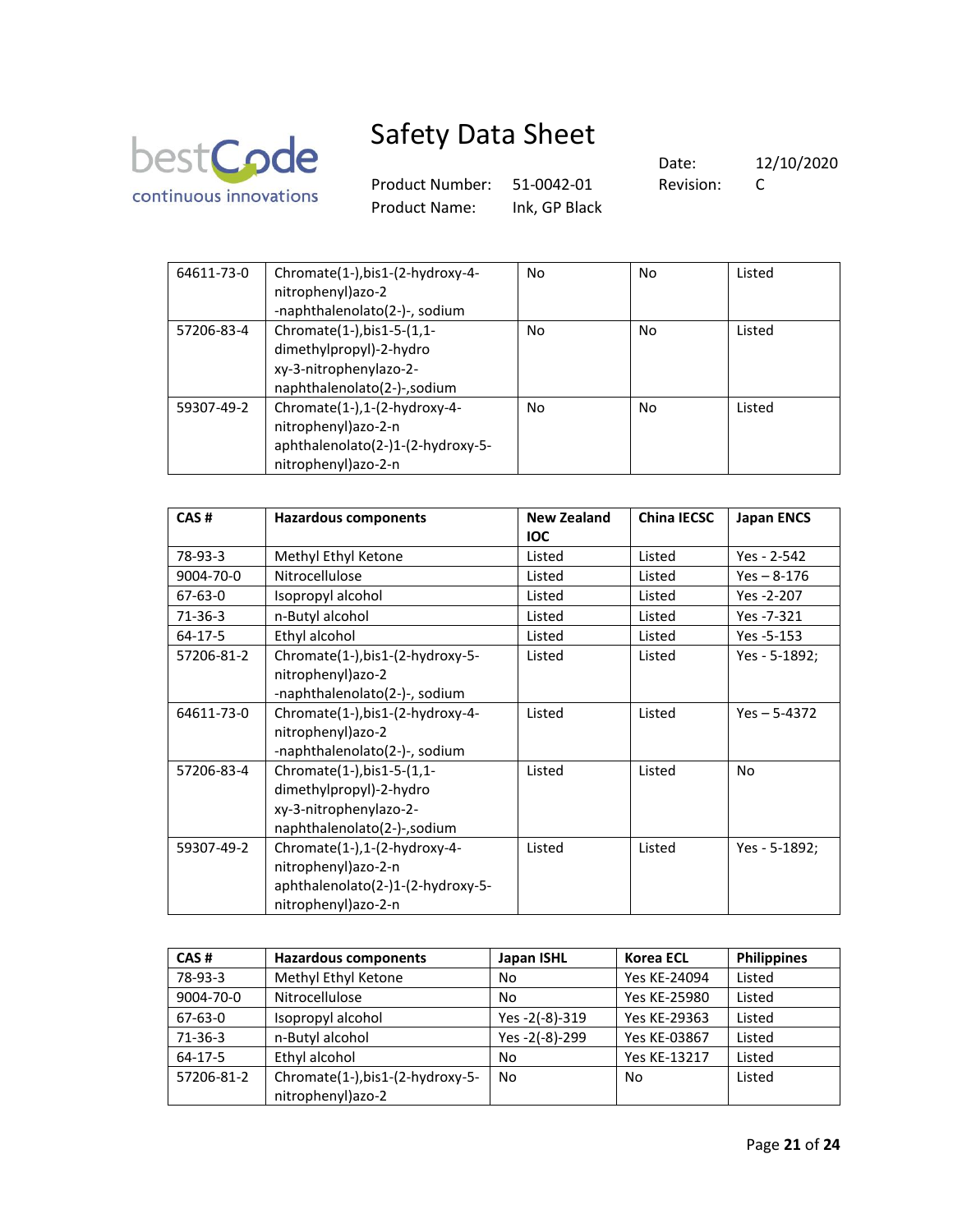

Product Number: 51-0042-01 Revision: C Product Name: Ink, GP Black

| 64611-73-0 | Chromate(1-), bis1-(2-hydroxy-4-<br>nitrophenyl) azo-2<br>-naphthalenolato(2-)-, sodium                         | No | No | Listed |
|------------|-----------------------------------------------------------------------------------------------------------------|----|----|--------|
| 57206-83-4 | Chromate(1-), bis1-5-(1,1-<br>dimethylpropyl)-2-hydro<br>xy-3-nitrophenylazo-2-<br>naphthalenolato(2-)-,sodium  | No | No | Listed |
| 59307-49-2 | Chromate(1-),1-(2-hydroxy-4-<br>nitrophenyl)azo-2-n<br>aphthalenolato(2-)1-(2-hydroxy-5-<br>nitrophenyl)azo-2-n | No | No | Listed |

| CAS#          | <b>Hazardous components</b>                                                                                     | <b>New Zealand</b><br><b>IOC</b> | China IECSC | <b>Japan ENCS</b> |
|---------------|-----------------------------------------------------------------------------------------------------------------|----------------------------------|-------------|-------------------|
| 78-93-3       | Methyl Ethyl Ketone                                                                                             | Listed                           | Listed      | Yes - 2-542       |
| 9004-70-0     | Nitrocellulose                                                                                                  | Listed                           | Listed      | $Yes - 8-176$     |
| 67-63-0       | Isopropyl alcohol                                                                                               | Listed                           | Listed      | Yes -2-207        |
| $71-36-3$     | n-Butyl alcohol                                                                                                 | Listed                           | Listed      | Yes -7-321        |
| $64 - 17 - 5$ | Ethyl alcohol                                                                                                   | Listed                           | Listed      | Yes -5-153        |
| 57206-81-2    | Chromate(1-),bis1-(2-hydroxy-5-<br>nitrophenyl)azo-2<br>-naphthalenolato(2-)-, sodium                           | Listed                           | Listed      | Yes - 5-1892;     |
| 64611-73-0    | Chromate(1-), bis1-(2-hydroxy-4-<br>nitrophenyl)azo-2<br>-naphthalenolato(2-)-, sodium                          | Listed                           | Listed      | $Yes - 5-4372$    |
| 57206-83-4    | Chromate(1-), bis1-5-(1,1-<br>dimethylpropyl)-2-hydro<br>xy-3-nitrophenylazo-2-<br>naphthalenolato(2-)-,sodium  | Listed                           | Listed      | N <sub>o</sub>    |
| 59307-49-2    | Chromate(1-),1-(2-hydroxy-4-<br>nitrophenyl)azo-2-n<br>aphthalenolato(2-)1-(2-hydroxy-5-<br>nitrophenyl)azo-2-n | Listed                           | Listed      | Yes - 5-1892;     |

| CAS#          | <b>Hazardous components</b>                          | Japan ISHL     | <b>Korea ECL</b> | <b>Philippines</b> |
|---------------|------------------------------------------------------|----------------|------------------|--------------------|
| 78-93-3       | Methyl Ethyl Ketone                                  | No             | Yes KE-24094     | Listed             |
| 9004-70-0     | Nitrocellulose                                       | No             | Yes KE-25980     | Listed             |
| 67-63-0       | Isopropyl alcohol                                    | Yes -2(-8)-319 | Yes KE-29363     | Listed             |
| $71-36-3$     | n-Butyl alcohol                                      | Yes -2(-8)-299 | Yes KE-03867     | Listed             |
| $64 - 17 - 5$ | Ethyl alcohol                                        | No             | Yes KE-13217     | Listed             |
| 57206-81-2    | Chromate(1-),bis1-(2-hydroxy-5-<br>nitrophenyl)azo-2 | No             | No               | Listed             |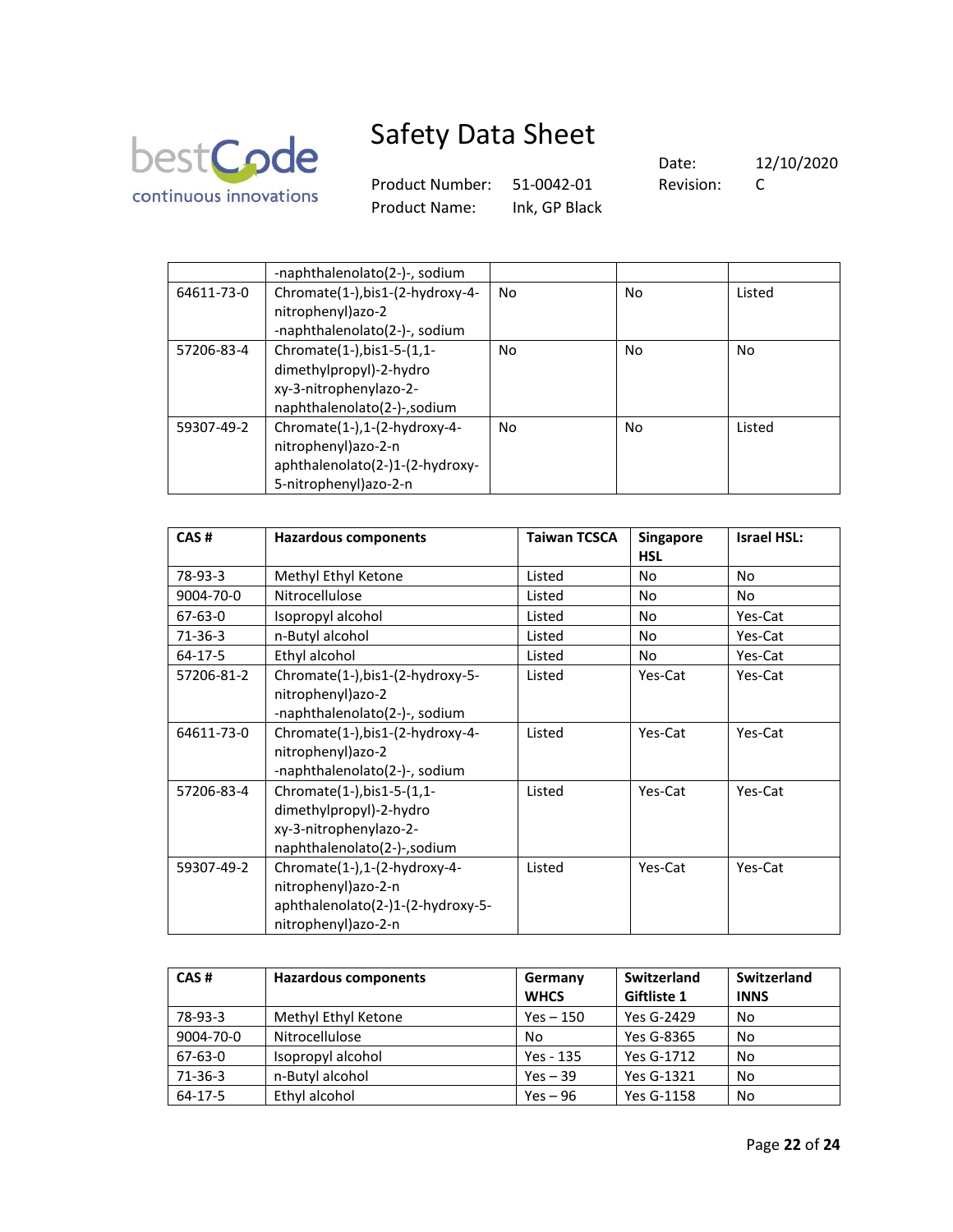

Product Number: 51-0042-01 Revision: C Product Name: Ink, GP Black

|            | -naphthalenolato(2-)-, sodium    |           |    |        |
|------------|----------------------------------|-----------|----|--------|
| 64611-73-0 | Chromate(1-), bis1-(2-hydroxy-4- | No.       | No | Listed |
|            | nitrophenyl) azo-2               |           |    |        |
|            | -naphthalenolato(2-)-, sodium    |           |    |        |
| 57206-83-4 | Chromate(1-), bis1-5-(1,1-       | <b>No</b> | No | No     |
|            | dimethylpropyl)-2-hydro          |           |    |        |
|            | xy-3-nitrophenylazo-2-           |           |    |        |
|            | naphthalenolato(2-)-,sodium      |           |    |        |
| 59307-49-2 | Chromate(1-),1-(2-hydroxy-4-     | No        | No | Listed |
|            | nitrophenyl)azo-2-n              |           |    |        |
|            | aphthalenolato(2-)1-(2-hydroxy-  |           |    |        |
|            | 5-nitrophenyl)azo-2-n            |           |    |        |

| CAS#          | <b>Hazardous components</b>       | <b>Taiwan TCSCA</b> | <b>Singapore</b> | <b>Israel HSL:</b> |
|---------------|-----------------------------------|---------------------|------------------|--------------------|
|               |                                   |                     | <b>HSL</b>       |                    |
| 78-93-3       | Methyl Ethyl Ketone               | Listed              | No               | No                 |
| 9004-70-0     | Nitrocellulose                    | Listed              | No               | No                 |
| $67 - 63 - 0$ | Isopropyl alcohol                 | Listed              | No               | Yes-Cat            |
| $71-36-3$     | n-Butyl alcohol                   | Listed              | No               | Yes-Cat            |
| $64-17-5$     | Ethyl alcohol                     | Listed              | No               | Yes-Cat            |
| 57206-81-2    | Chromate(1-),bis1-(2-hydroxy-5-   | Listed              | Yes-Cat          | Yes-Cat            |
|               | nitrophenyl)azo-2                 |                     |                  |                    |
|               | -naphthalenolato(2-)-, sodium     |                     |                  |                    |
| 64611-73-0    | Chromate(1-),bis1-(2-hydroxy-4-   | Listed              | Yes-Cat          | Yes-Cat            |
|               | nitrophenyl) azo-2                |                     |                  |                    |
|               | -naphthalenolato(2-)-, sodium     |                     |                  |                    |
| 57206-83-4    | Chromate(1-), bis1-5-(1,1-        | Listed              | Yes-Cat          | Yes-Cat            |
|               | dimethylpropyl)-2-hydro           |                     |                  |                    |
|               | xy-3-nitrophenylazo-2-            |                     |                  |                    |
|               | naphthalenolato(2-)-,sodium       |                     |                  |                    |
| 59307-49-2    | Chromate(1-),1-(2-hydroxy-4-      | Listed              | Yes-Cat          | Yes-Cat            |
|               | nitrophenyl)azo-2-n               |                     |                  |                    |
|               | aphthalenolato(2-)1-(2-hydroxy-5- |                     |                  |                    |
|               | nitrophenyl)azo-2-n               |                     |                  |                    |

| CAS#      | <b>Hazardous components</b> | Germany     | Switzerland | Switzerland |
|-----------|-----------------------------|-------------|-------------|-------------|
|           |                             | <b>WHCS</b> | Giftliste 1 | <b>INNS</b> |
| 78-93-3   | Methyl Ethyl Ketone         | $Yes - 150$ | Yes G-2429  | No          |
| 9004-70-0 | Nitrocellulose              | No          | Yes G-8365  | No          |
| 67-63-0   | Isopropyl alcohol           | Yes - 135   | Yes G-1712  | No          |
| $71-36-3$ | n-Butyl alcohol             | $Yes - 39$  | Yes G-1321  | No          |
| $64-17-5$ | Ethyl alcohol               | $Yes - 96$  | Yes G-1158  | No          |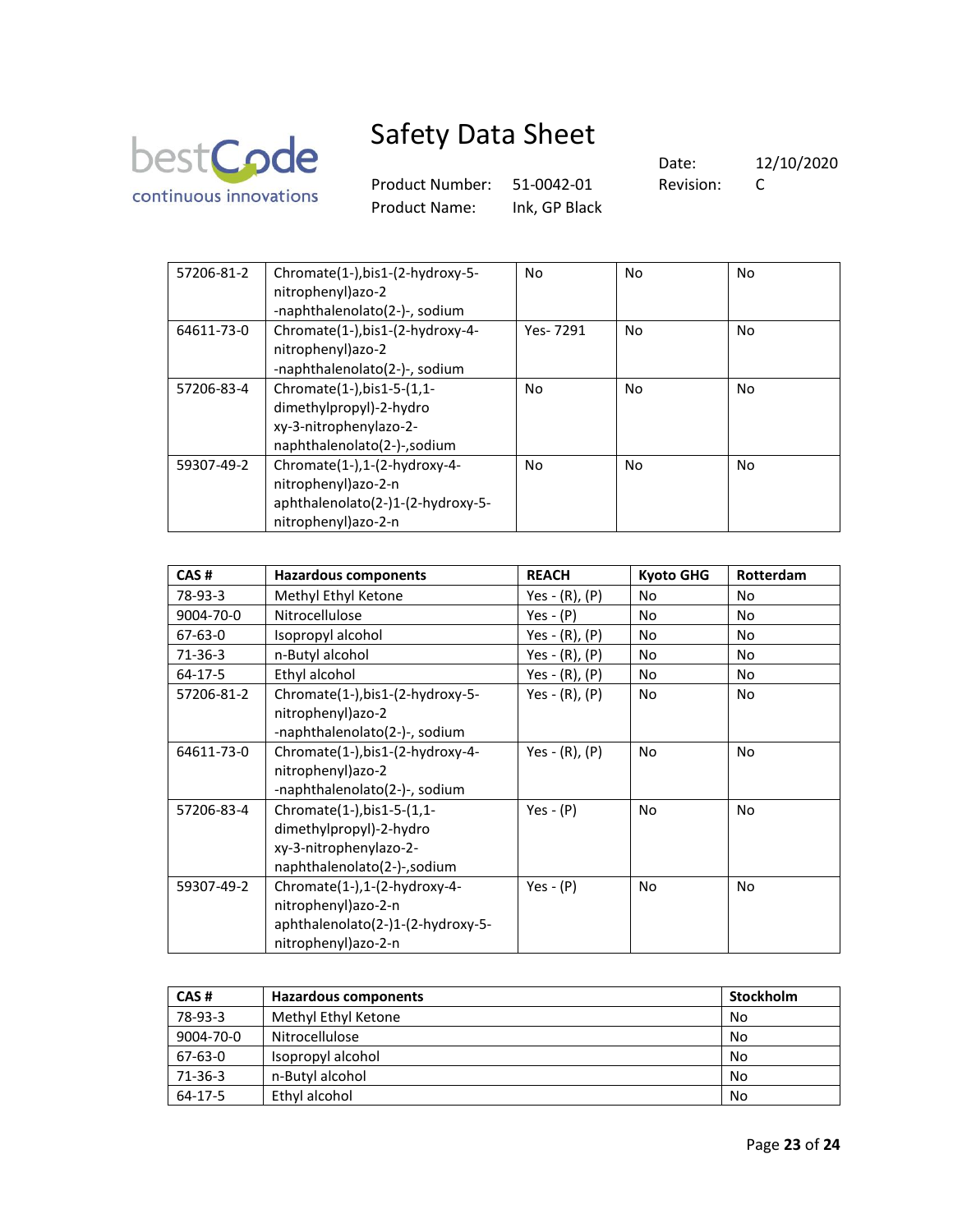

Product Number: 51-0042-01 Revision: C Product Name: Ink, GP Black

| 57206-81-2 | Chromate(1-),bis1-(2-hydroxy-5-<br>nitrophenyl)azo-2<br>-naphthalenolato(2-)-, sodium                            | No       | No | No |
|------------|------------------------------------------------------------------------------------------------------------------|----------|----|----|
| 64611-73-0 | Chromate(1-), bis1-(2-hydroxy-4-<br>nitrophenyl)azo-2<br>-naphthalenolato(2-)-, sodium                           | Yes-7291 | No | No |
| 57206-83-4 | Chromate(1-), bis1-5-(1,1-<br>dimethylpropyl)-2-hydro<br>xy-3-nitrophenylazo-2-<br>naphthalenolato(2-)-,sodium   | No       | No | No |
| 59307-49-2 | Chromate(1-),1-(2-hydroxy-4-<br>nitrophenyl) azo-2-n<br>aphthalenolato(2-)1-(2-hydroxy-5-<br>nitrophenyl)azo-2-n | No       | No | No |

| CAS#          | <b>Hazardous components</b>       | <b>REACH</b>        | <b>Kyoto GHG</b> | Rotterdam |
|---------------|-----------------------------------|---------------------|------------------|-----------|
| 78-93-3       | Methyl Ethyl Ketone               | Yes - (R), (P)      | No               | No        |
| 9004-70-0     | Nitrocellulose                    | Yes - $(P)$         | No               | <b>No</b> |
| $67 - 63 - 0$ | Isopropyl alcohol                 | Yes - $(R)$ , $(P)$ | No               | No        |
| $71-36-3$     | n-Butyl alcohol                   | Yes - $(R)$ , $(P)$ | No               | No        |
| 64-17-5       | Ethyl alcohol                     | Yes - $(R)$ , $(P)$ | No               | No        |
| 57206-81-2    | Chromate(1-), bis1-(2-hydroxy-5-  | Yes - $(R)$ , $(P)$ | No               | <b>No</b> |
|               | nitrophenyl)azo-2                 |                     |                  |           |
|               | -naphthalenolato(2-)-, sodium     |                     |                  |           |
| 64611-73-0    | Chromate(1-), bis1-(2-hydroxy-4-  | Yes $- (R)$ , $(P)$ | No               | <b>No</b> |
|               | nitrophenyl)azo-2                 |                     |                  |           |
|               | -naphthalenolato(2-)-, sodium     |                     |                  |           |
| 57206-83-4    | Chromate(1-), bis1-5-(1,1-        | Yes - $(P)$         | No               | No        |
|               | dimethylpropyl)-2-hydro           |                     |                  |           |
|               | xy-3-nitrophenylazo-2-            |                     |                  |           |
|               | naphthalenolato(2-)-,sodium       |                     |                  |           |
| 59307-49-2    | Chromate(1-),1-(2-hydroxy-4-      | Yes - $(P)$         | No               | No        |
|               | nitrophenyl)azo-2-n               |                     |                  |           |
|               | aphthalenolato(2-)1-(2-hydroxy-5- |                     |                  |           |
|               | nitrophenyl)azo-2-n               |                     |                  |           |

| CAS#      | <b>Hazardous components</b> | <b>Stockholm</b> |
|-----------|-----------------------------|------------------|
| 78-93-3   | Methyl Ethyl Ketone         | No               |
| 9004-70-0 | Nitrocellulose              | No               |
| 67-63-0   | Isopropyl alcohol           | No               |
| 71-36-3   | n-Butyl alcohol             | No               |
| 64-17-5   | Ethyl alcohol               | No               |